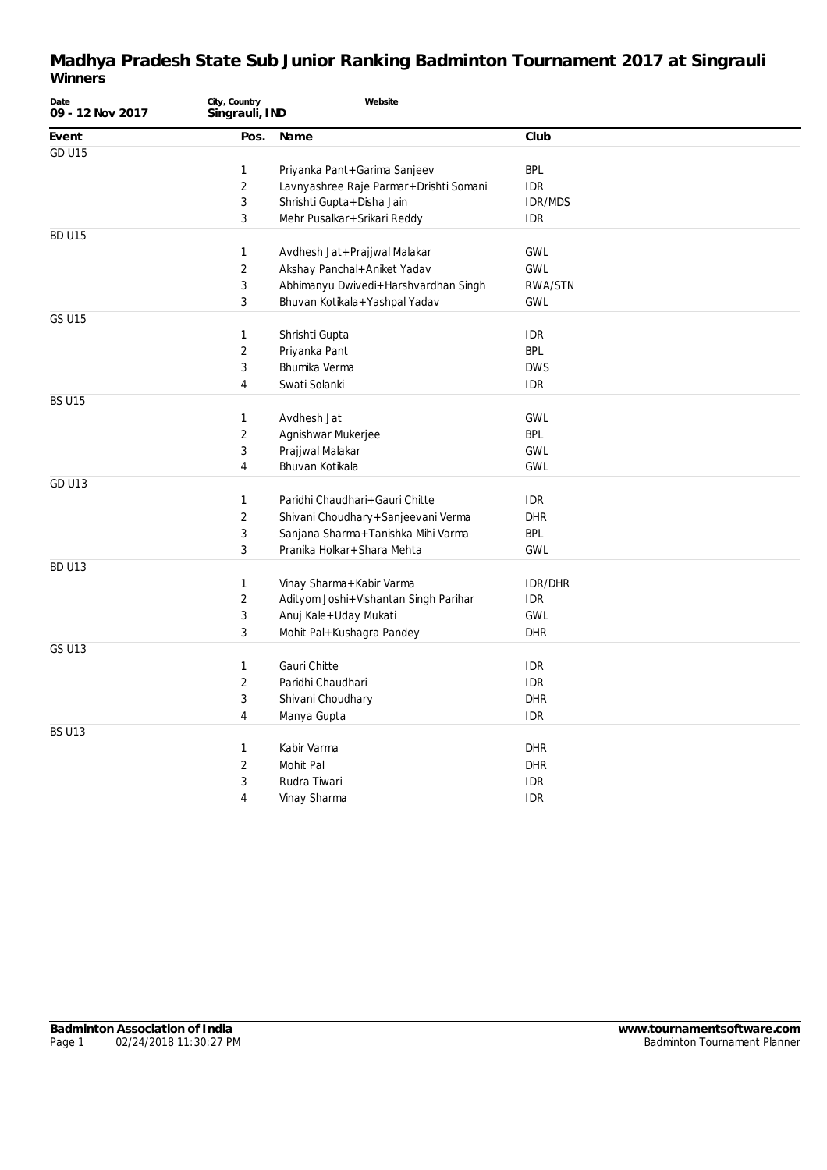| Date<br>09 - 12 Nov 2017 | City, Country<br>Singrauli, IND | Website                                |                |
|--------------------------|---------------------------------|----------------------------------------|----------------|
| Event                    | Pos.                            | Name                                   | Club           |
| <b>GD U15</b>            |                                 |                                        |                |
|                          | 1                               | Priyanka Pant+Garima Sanjeev           | <b>BPL</b>     |
|                          | $\overline{2}$                  | Lavnyashree Raje Parmar+Drishti Somani | <b>IDR</b>     |
|                          | 3                               | Shrishti Gupta + Disha Jain            | <b>IDR/MDS</b> |
|                          | $\mathbf{3}$                    | Mehr Pusalkar+Srikari Reddy            | <b>IDR</b>     |
| <b>BD U15</b>            |                                 |                                        |                |
|                          | $\mathbf{1}$                    | Avdhesh Jat+Prajjwal Malakar           | <b>GWL</b>     |
|                          | 2                               | Akshay Panchal+Aniket Yadav            | <b>GWL</b>     |
|                          | 3                               | Abhimanyu Dwivedi+Harshvardhan Singh   | RWA/STN        |
|                          | 3                               | Bhuvan Kotikala+Yashpal Yadav          | <b>GWL</b>     |
| <b>GS U15</b>            |                                 |                                        |                |
|                          | 1                               | Shrishti Gupta                         | <b>IDR</b>     |
|                          | $\sqrt{2}$                      | Priyanka Pant                          | <b>BPL</b>     |
|                          | 3                               | Bhumika Verma                          | <b>DWS</b>     |
|                          | 4                               | Swati Solanki                          | <b>IDR</b>     |
| <b>BS U15</b>            |                                 |                                        |                |
|                          | 1                               | Avdhesh Jat                            | <b>GWL</b>     |
|                          | $\overline{2}$                  | Agnishwar Mukerjee                     | <b>BPL</b>     |
|                          | 3                               | Prajjwal Malakar                       | <b>GWL</b>     |
|                          | $\overline{4}$                  | Bhuvan Kotikala                        | <b>GWL</b>     |
| <b>GD U13</b>            |                                 |                                        |                |
|                          | $\mathbf{1}$                    | Paridhi Chaudhari+Gauri Chitte         | <b>IDR</b>     |
|                          | 2                               | Shivani Choudhary + Sanjeevani Verma   | <b>DHR</b>     |
|                          | 3                               | Sanjana Sharma+Tanishka Mihi Varma     | BPL            |
|                          | 3                               | Pranika Holkar+Shara Mehta             | <b>GWL</b>     |
| <b>BD U13</b>            |                                 |                                        |                |
|                          | 1                               | Vinay Sharma+Kabir Varma               | <b>IDR/DHR</b> |
|                          | $\sqrt{2}$                      | Adityom Joshi+Vishantan Singh Parihar  | <b>IDR</b>     |
|                          | $\sqrt{3}$                      | Anuj Kale+Uday Mukati                  | <b>GWL</b>     |
|                          | 3                               | Mohit Pal+Kushagra Pandey              | <b>DHR</b>     |
| <b>GS U13</b>            |                                 |                                        |                |
|                          | 1                               | Gauri Chitte                           | <b>IDR</b>     |
|                          | $\overline{c}$                  | Paridhi Chaudhari                      | <b>IDR</b>     |
|                          | 3                               | Shivani Choudhary                      | <b>DHR</b>     |
|                          | $\overline{4}$                  | Manya Gupta                            | <b>IDR</b>     |
| <b>BS U13</b>            |                                 |                                        |                |
|                          | $\mathbf{1}$                    | Kabir Varma                            | <b>DHR</b>     |
|                          | 2                               | Mohit Pal                              | <b>DHR</b>     |
|                          | 3                               | Rudra Tiwari                           | <b>IDR</b>     |
|                          | $\overline{4}$                  | Vinay Sharma                           | <b>IDR</b>     |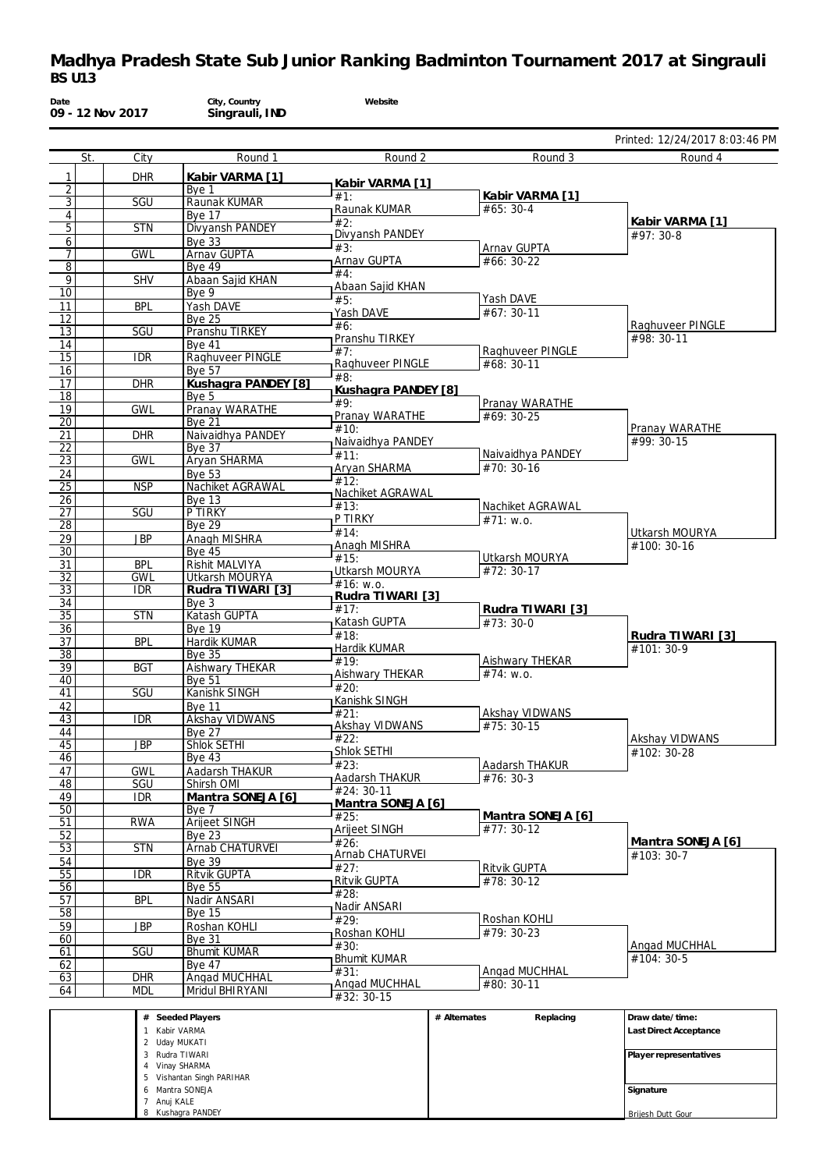| Date                  | 09 - 12 Nov 2017 | City, Country<br>Singrauli, IND              | Website                      |                                      |                                  |
|-----------------------|------------------|----------------------------------------------|------------------------------|--------------------------------------|----------------------------------|
|                       |                  |                                              |                              |                                      | Printed: 12/24/2017 8:03:46 PM   |
| St.                   | City             | Round 1                                      | Round 2                      | Round 3                              | Round 4                          |
| 1                     | <b>DHR</b>       | Kabir VARMA [1]                              | Kabir VARMA [1]              |                                      |                                  |
| $\overline{2}$<br>3   | SGU              | Bye 1<br>Raunak KUMAR                        | #1:                          | Kabir VARMA [1]                      |                                  |
| $\sqrt{4}$            |                  | Bye 17                                       | Raunak KUMAR                 | #65: 30-4                            |                                  |
| 5                     | <b>STN</b>       | Divyansh PANDEY                              | #2:<br>Divyansh PANDEY       |                                      | Kabir VARMA [1]<br>#97: 30-8     |
| 6                     |                  | <b>Bye 33</b>                                | #3:                          | Arnav GUPTA                          |                                  |
| 7<br>$\overline{8}$   | <b>GWL</b>       | <b>Arnav GUPTA</b><br><b>Bye 49</b>          | Arnav GUPTA                  | #66: 30-22                           |                                  |
| $\overline{9}$        | <b>SHV</b>       | Abaan Sajid KHAN                             | #4:                          |                                      |                                  |
| 10                    |                  | Bye 9                                        | Abaan Sajid KHAN<br>#5:      | Yash DAVE                            |                                  |
| 11                    | <b>BPL</b>       | Yash DAVE                                    | Yash DAVE                    | #67: 30-11                           |                                  |
| $\overline{12}$<br>13 | SGU              | <b>Bye 25</b><br>Pranshu TIRKEY              | #6:                          |                                      | Raghuveer PINGLE                 |
| 14                    |                  | <b>Bye 41</b>                                | Pranshu TIRKEY               |                                      | #98: 30-11                       |
| $\overline{15}$       | <b>IDR</b>       | Raghuveer PINGLE                             | #7:                          | Raghuveer PINGLE                     |                                  |
| 16                    |                  | <b>Bve 57</b>                                | Raghuveer PINGLE<br>#8:      | #68: 30-11                           |                                  |
| 17                    | <b>DHR</b>       | Kushagra PANDEY [8]                          | Kushagra PANDEY [8]          |                                      |                                  |
| $\overline{18}$<br>19 | <b>GWL</b>       | Bye 5<br>Pranay WARATHE                      | #9:                          | Pranay WARATHE                       |                                  |
| 20                    |                  | <b>Bye 21</b>                                | Pranay WARATHE               | #69: 30-25                           |                                  |
| 21                    | <b>DHR</b>       | Naivaidhya PANDEY                            | #10:<br>Naivaidhya PANDEY    |                                      | Pranay WARATHE<br>#99: 30-15     |
| $\overline{22}$       |                  | Bye 37                                       | #11:                         | Naivaidhya PANDEY                    |                                  |
| $\overline{23}$       | <b>GWL</b>       | Aryan SHARMA<br><b>Bye 53</b>                | Aryan SHARMA                 | #70: 30-16                           |                                  |
| 24<br>25              | <b>NSP</b>       | Nachiket AGRAWAL                             | #12:                         |                                      |                                  |
| 26                    |                  | <b>Bye 13</b>                                | Nachiket AGRAWAL             |                                      |                                  |
| 27                    | SGU              | P TIRKY                                      | #13:<br>P TIRKY              | Nachiket AGRAWAL<br>#71: w.o.        |                                  |
| $\overline{28}$       |                  | <b>Bye 29</b>                                | #14                          |                                      | Utkarsh MOURYA                   |
| 29<br>30              | JBP              | Anagh MISHRA<br><b>Bye 45</b>                | Anagh MISHRA                 |                                      | #100: 30-16                      |
| 31                    | <b>BPL</b>       | Rishit MALVIYA                               | #15:                         | Utkarsh MOURYA                       |                                  |
| $\overline{32}$       | <b>GWL</b>       | Utkarsh MOURYA                               | Utkarsh MOURYA<br>#16: W.0.  | #72: 30-17                           |                                  |
| $\overline{33}$       | <b>IDR</b>       | Rudra TIWARI [3]                             | Rudra TIWARI [3]             |                                      |                                  |
| 34<br>$\overline{35}$ | <b>STN</b>       | Bye 3<br>Katash GUPTA                        | #17:                         | Rudra TIWARI [3]                     |                                  |
| 36                    |                  | <b>Bye 19</b>                                | Katash GUPTA                 | #73:30-0                             |                                  |
| $\overline{37}$       | <b>BPL</b>       | Hardik KUMAR                                 | #18:<br>Hardik KUMAR         |                                      | Rudra TIWARI [3]<br>#101: 30-9   |
| 38                    |                  | <b>Bye 35</b>                                | #19:                         | Aishwary THEKAR                      |                                  |
| 39<br>40              | <b>BGT</b>       | <b>Aishwary THEKAR</b><br><b>Bye 51</b>      | Aishwary THEKAR              | $#74$ : w.o.                         |                                  |
| 41                    | SGU              | Kanishk SINGH                                | #20:                         |                                      |                                  |
| 42                    |                  | <b>Bye 11</b>                                | Kanishk SINGH                |                                      |                                  |
| $\overline{43}$       | $\overline{IDR}$ | Akshay VIDWANS                               | #21:<br>Akshay VIDWANS       | <b>Akshay VIDWANS</b><br>$#75:30-15$ |                                  |
| 44                    |                  | <b>Bye 27</b>                                | #22:                         |                                      | Akshay VIDWANS                   |
| 45<br>46              | JBP              | Shlok SETHI<br>Bye $43$                      | Shlok SETHI                  |                                      | #102: 30-28                      |
| 47                    | <b>GWL</b>       | Aadarsh THAKUR                               | #23:                         | Aadarsh THAKUR                       |                                  |
| $\overline{48}$       | <b>SGU</b>       | Shirsh OMI                                   | Aadarsh THAKUR<br>#24: 30-11 | #76: 30-3                            |                                  |
| 49                    | <b>IDR</b>       | Mantra SONEJA [6]                            | Mantra SONEJA [6]            |                                      |                                  |
| 50<br>51              | <b>RWA</b>       | Bye 7<br>Arijeet SINGH                       | #25:                         | Mantra SONEJA [6]                    |                                  |
| $\overline{52}$       |                  | Bye $23$                                     | Arijeet SINGH                | #77: 30-12                           |                                  |
| $\overline{53}$       | <b>STN</b>       | <b>Arnab CHATURVEI</b>                       | #26:<br>Arnab CHATURVEI      |                                      | Mantra SONEJA [6]<br>$#103:30-7$ |
| 54                    |                  | <b>Bye 39</b>                                | #27:                         | Ritvik GUPTA                         |                                  |
| 55<br>$\overline{56}$ | IDR              | Ritvik GUPTA                                 | Ritvik GUPTA                 | #78: 30-12                           |                                  |
| 57                    | <b>BPL</b>       | <b>Bye 55</b><br>Nadir ANSARI                | #28:                         |                                      |                                  |
| 58                    |                  | <b>Bye 15</b>                                | Nadir ANSARI                 |                                      |                                  |
| 59                    | <b>JBP</b>       | Roshan KOHLI                                 | #29:<br>Roshan KOHLI         | Roshan KOHLI<br>#79: 30-23           |                                  |
| 60                    |                  | <b>Bye 31</b>                                | #30:                         |                                      | Angad MUCHHAL                    |
| 61<br>62              | SGU              | <b>Bhumit KUMAR</b><br><b>Bve 47</b>         | <b>Bhumit KUMAR</b>          |                                      | #104: 30-5                       |
| 63                    | <b>DHR</b>       | Angad MUCHHAL                                | #31:                         | Angad MUCHHAL                        |                                  |
| 64                    | <b>MDL</b>       | Mridul BHIRYANI                              | Angad MUCHHAL<br>#32: 30-15  | #80: 30-11                           |                                  |
|                       |                  |                                              |                              |                                      |                                  |
|                       |                  | # Seeded Players                             | # Alternates                 | Replacing                            | Draw date/time:                  |
|                       |                  | 1 Kabir VARMA<br>2 Uday MUKATI               |                              |                                      | Last Direct Acceptance           |
|                       |                  | 3 Rudra TIWARI                               |                              |                                      | Player representatives           |
|                       |                  | 4 Vinay SHARMA                               |                              |                                      |                                  |
|                       |                  | 5 Vishantan Singh PARIHAR<br>6 Mantra SONEJA |                              |                                      | Signature                        |
|                       | 7 Anuj KALE      |                                              |                              |                                      |                                  |

Brijesh Dutt Gour

8 Kushagra PANDEY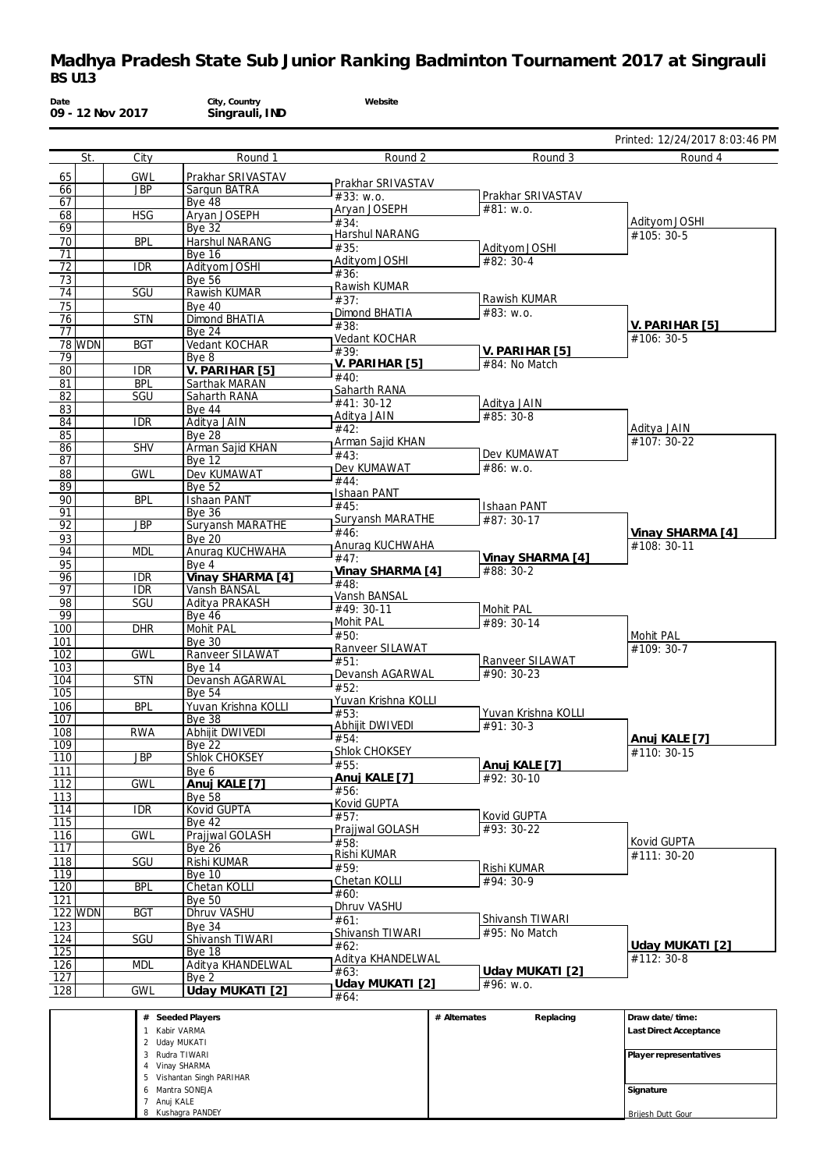| Date                    | 09 - 12 Nov 2017 | City, Country<br>Singrauli, IND       | Website                   |                           |                                |
|-------------------------|------------------|---------------------------------------|---------------------------|---------------------------|--------------------------------|
|                         |                  |                                       |                           |                           | Printed: 12/24/2017 8:03:46 PM |
| St.                     | City             | Round 1                               | Round 2                   | Round 3                   | Round 4                        |
| 65                      | <b>GWL</b>       | Prakhar SRIVASTAV                     | Prakhar SRIVASTAV         |                           |                                |
| 66<br>67                | <b>JBP</b>       | Sargun BATRA<br><b>Bye 48</b>         | #33: W.0.                 | Prakhar SRIVASTAV         |                                |
| 68                      | <b>HSG</b>       | Aryan JOSEPH                          | Aryan JOSEPH              | $#81:$ W.O.               |                                |
| 69                      |                  | <b>Bye 32</b>                         | #34:<br>Harshul NARANG    |                           | Adityom JOSHI<br>#105: 30-5    |
| 70                      | <b>BPL</b>       | Harshul NARANG                        | #35:                      | Adityom JOSHI             |                                |
| 71<br>72                | <b>IDR</b>       | <b>Bve 16</b><br>Adityom JOSHI        | Adityom JOSHI             | #82: 30-4                 |                                |
| 73                      |                  | <b>Bye 56</b>                         | #36:                      |                           |                                |
| 74                      | SGU              | Rawish KUMAR                          | Rawish KUMAR<br>#37:      | Rawish KUMAR              |                                |
| 75                      |                  | <b>Bye 40</b>                         | Dimond BHATIA             | #83: w.o.                 |                                |
| 76<br>77                | <b>STN</b>       | <b>Dimond BHATIA</b><br><b>Bye 24</b> | #38:                      |                           | V. PARIHAR [5]                 |
| <b>78 WDN</b>           | <b>BGT</b>       | Vedant KOCHAR                         | Vedant KOCHAR             |                           | #106: 30-5                     |
| 79                      |                  | Bye <sub>8</sub>                      | #39:                      | V. PARIHAR [5]            |                                |
| 80                      | <b>IDR</b>       | V. PARIHAR [5]                        | V. PARIHAR [5]<br>#40:    | #84: No Match             |                                |
| 81                      | <b>BPL</b>       | Sarthak MARAN                         | Saharth RANA              |                           |                                |
| 82<br>83                | SGU              | Saharth RANA<br><b>Bye 44</b>         | #41: 30-12                | Aditya JAIN               |                                |
| 84                      | <b>IDR</b>       | Aditya JAIN                           | Aditya JAIN               | #85: 30-8                 |                                |
| 85                      |                  | <b>Bye 28</b>                         | #42:<br>Arman Sajid KHAN  |                           | Aditya JAIN<br>#107: 30-22     |
| 86                      | <b>SHV</b>       | Arman Sajid KHAN                      | #43:                      | Dev KUMAWAT               |                                |
| 87<br>88                | <b>GWL</b>       | <b>Bye 12</b><br>Dev KUMAWAT          | Dev KUMAWAT               | #86: w.o.                 |                                |
| 89                      |                  | Bye $52$                              | #44:                      |                           |                                |
| 90                      | <b>BPL</b>       | <b>Ishaan PANT</b>                    | Ishaan PANT               |                           |                                |
| 91                      |                  | <b>Bye 36</b>                         | #45:<br>Suryansh MARATHE  | Ishaan PANT<br>#87: 30-17 |                                |
| 92                      | <b>JBP</b>       | Suryansh MARATHE                      | #46:                      |                           | Vinay SHARMA [4]               |
| 93<br>94                | <b>MDL</b>       | <b>Bye 20</b><br>Anurag KUCHWAHA      | Anurag KUCHWAHA           |                           | #108: 30-11                    |
| 95                      |                  | Bve 4                                 | #47:                      | Vinay SHARMA [4]          |                                |
| 96                      | <b>IDR</b>       | Vinay SHARMA [4]                      | Vinay SHARMA [4]          | #88: 30-2                 |                                |
| 97                      | <b>IDR</b>       | Vansh BANSAL                          | #48:<br>Vansh BANSAL      |                           |                                |
| 98<br>99                | SGU              | Aditya PRAKASH                        | #49: 30-11                | Mohit PAL                 |                                |
| 100                     | <b>DHR</b>       | <b>Bye 46</b><br><b>Mohit PAL</b>     | Mohit PAL                 | $#89:30-14$               |                                |
| 101                     |                  | <b>Bye 30</b>                         | #50:                      |                           | Mohit PAL                      |
| 102                     | <b>GWL</b>       | Ranveer SILAWAT                       | Ranveer SILAWAT<br>#51:   | Ranveer SILAWAT           | #109: 30-7                     |
| 103                     |                  | <b>Bye 14</b>                         | Devansh AGARWAL           | $#90: 30-23$              |                                |
| 104<br>105              | <b>STN</b>       | Devansh AGARWAL<br><b>Bye 54</b>      | #52:                      |                           |                                |
| 106                     | <b>BPL</b>       | Yuvan Krishna KOLLI                   | Yuvan Krishna KOLLI       |                           |                                |
| $\overline{107}$        |                  | Вуе 38                                | #53:<br>Abhijit DWIVEDI   | Yuvan Krishna KOLLI       |                                |
| 108                     | <b>RWA</b>       | Abhijit DWIVEDI                       | #54:                      | $#91:30-3$                | Anuj KALE [7]                  |
| $\overline{109}$        |                  | <b>Bve 22</b>                         | Shlok CHOKSEY             |                           | #110: 30-15                    |
| 110<br>111              | <b>JBP</b>       | Shlok CHOKSEY<br>Bye 6                | #55:                      | Anuj KALE [7]             |                                |
| $\overline{112}$        | <b>GWL</b>       | Anuj KALE [7]                         | Anuj KALE [7]             | #92: 30-10                |                                |
| 113                     |                  | <b>Bye 58</b>                         | #56:<br>Kovid GUPTA       |                           |                                |
| 114                     | IDR              | <b>Kovid GUPTA</b>                    | #57:                      | Kovid GUPTA               |                                |
| $\overline{115}$        |                  | <b>Bye 42</b>                         | Prajjwal GOLASH           | #93: 30-22                |                                |
| 116<br>$\overline{117}$ | <b>GWL</b>       | Prajjwal GOLASH<br><b>Bye 26</b>      | #58:                      |                           | Kovid GUPTA                    |
| 118                     | SGU              | Rishi KUMAR                           | Rishi KUMAR               |                           | #111: 30-20                    |
| 119                     |                  | <b>Bye 10</b>                         | #59:<br>Chetan KOLLI      | Rishi KUMAR<br>#94: 30-9  |                                |
| 120                     | <b>BPL</b>       | Chetan KOLLI                          | #60:                      |                           |                                |
| 121<br><b>122 WDN</b>   | <b>BGT</b>       | <b>Bye 50</b><br>Dhruv VASHU          | Dhruv VASHU               |                           |                                |
| 123                     |                  | Bye 34                                | #61:                      | Shivansh TIWARI           |                                |
| 124                     | SGU              | Shivansh TIWARI                       | Shivansh TIWARI           | #95: No Match             |                                |
| 125                     |                  | Bye 18                                | #62:<br>Aditya KHANDELWAL |                           | Uday MUKATI [2]<br>#112: 30-8  |
| 126                     | <b>MDL</b>       | Aditya KHANDELWAL                     | #63:                      | Uday MUKATI [2]           |                                |
| 127<br>128              | <b>GWL</b>       | Bye 2<br>Uday MUKATI [2]              | Uday MUKATI [2]           | #96: w.o.                 |                                |
|                         |                  |                                       | #64:                      |                           |                                |
|                         |                  | # Seeded Players                      |                           | # Alternates<br>Replacing | Draw date/time:                |
|                         |                  | 1 Kabir VARMA                         |                           |                           | Last Direct Acceptance         |
|                         |                  | 2 Uday MUKATI                         |                           |                           |                                |
|                         |                  | 3 Rudra TIWARI<br>4 Vinay SHARMA      |                           |                           | Player representatives         |
|                         |                  | 5 Vishantan Singh PARIHAR             |                           |                           |                                |

6 Mantra SONEJA 7 Anuj KALE 8 Kushagra PANDEY

**Signature** Brijesh Dutt Gour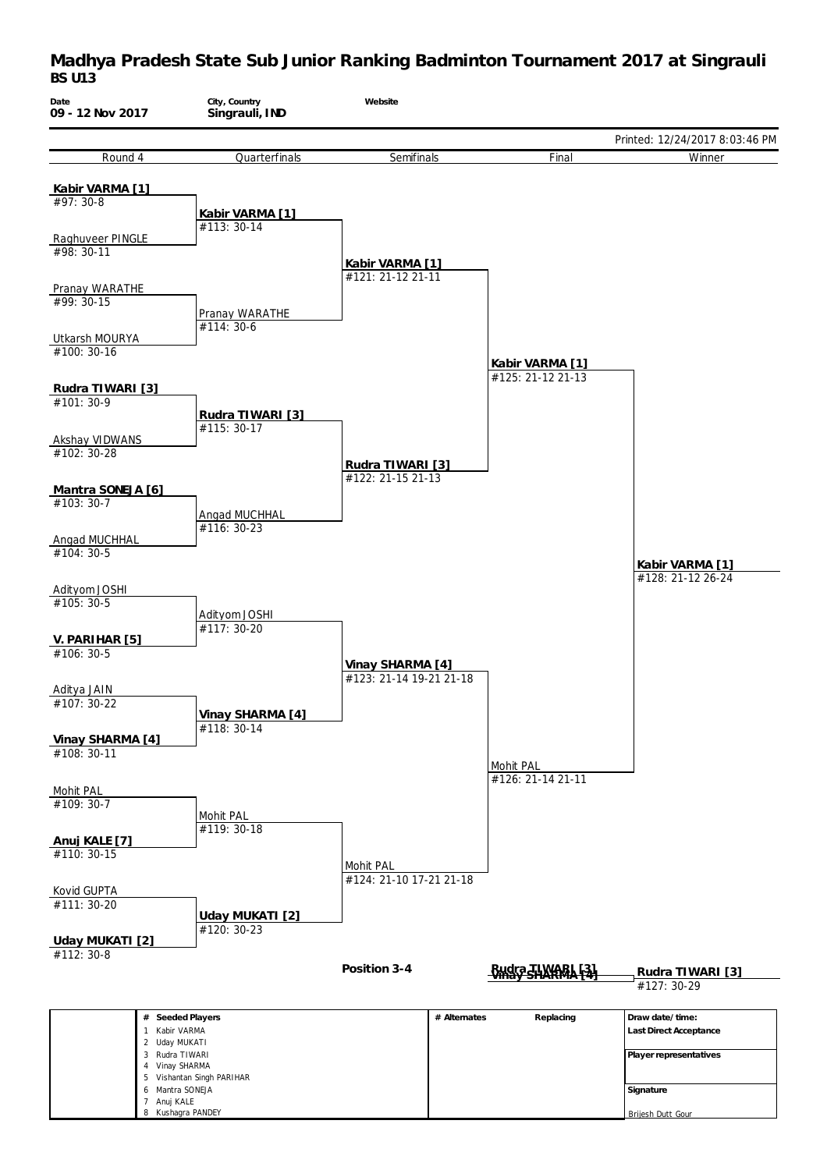

Brijesh Dutt Gour

8 Kushagra PANDEY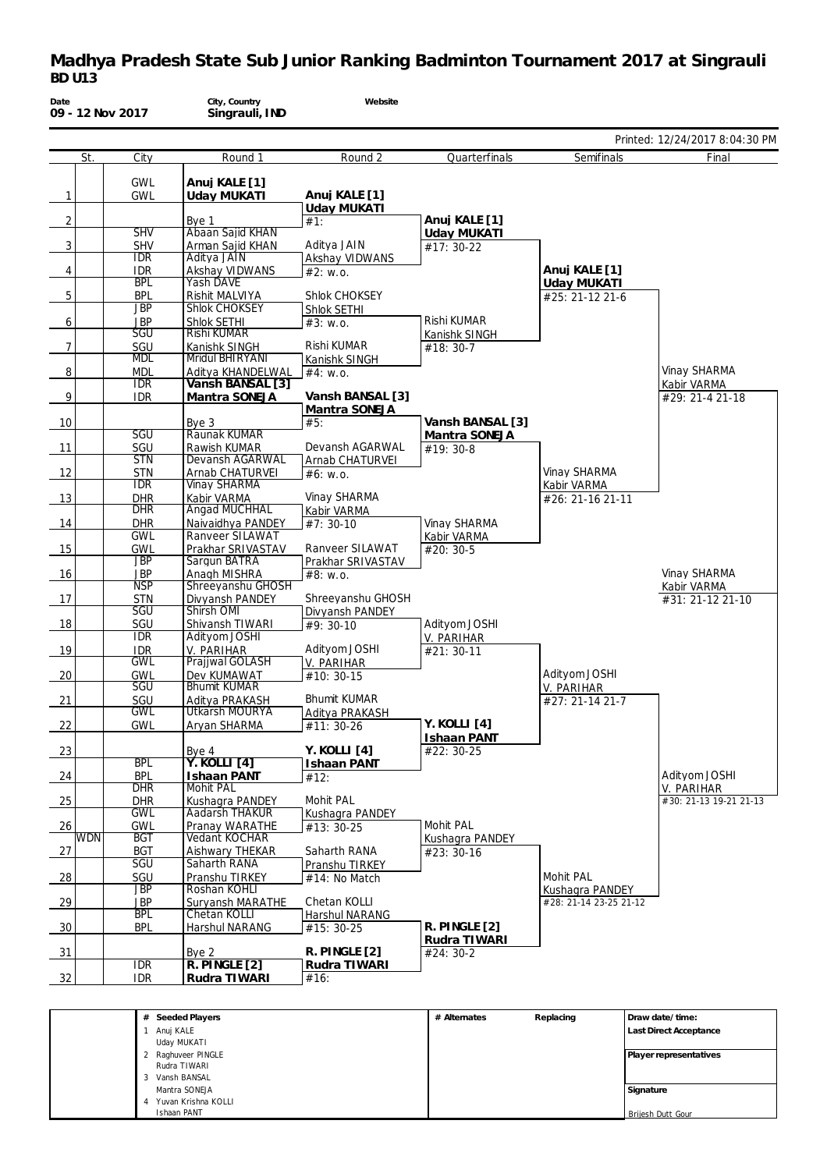| Date           |            | 09 - 12 Nov 2017         | City, Country<br>Singrauli, IND        | Website                       |                              |                                           |                                |
|----------------|------------|--------------------------|----------------------------------------|-------------------------------|------------------------------|-------------------------------------------|--------------------------------|
|                |            |                          |                                        |                               |                              |                                           | Printed: 12/24/2017 8:04:30 PM |
|                | St.        | City                     | Round 1                                | Round 2                       | Quarterfinals                | Semifinals                                | Final                          |
|                |            | <b>GWL</b>               | Anuj KALE [1]                          |                               |                              |                                           |                                |
| $\mathbf{1}$   |            | <b>GWL</b>               | Uday MUKATI                            | Anuj KALE [1]                 |                              |                                           |                                |
|                |            |                          |                                        | <b>Uday MUKATI</b>            | Anuj KALE [1]                |                                           |                                |
| $\overline{2}$ |            | <b>SHV</b>               | Bye 1<br>Abaan Saiid KHAN              | #1:                           | <b>Uday MUKATI</b>           |                                           |                                |
| 3              |            | <b>SHV</b>               | Arman Sajid KHAN                       | Aditya JAIN                   | $#17: 30-22$                 |                                           |                                |
|                |            | <b>IDR</b><br><b>IDR</b> | Aditya JAIN                            | Akshay VIDWANS                |                              | Anuj KALE [1]                             |                                |
| 4              |            | <b>BPL</b>               | Akshay VIDWANS<br><b>Yash DAVE</b>     | #2: W.0.                      |                              | Uday MUKATI                               |                                |
| 5              |            | <b>BPL</b>               | Rishit MALVIYA                         | Shlok CHOKSEY                 |                              | #25: 21-12 21-6                           |                                |
|                |            | <b>JBP</b>               | Shlok CHOKSEY                          | Shlok SETHI                   |                              |                                           |                                |
| 6              |            | <b>JBP</b><br>SGU        | Shlok SETHI<br><b>Rishi KUMAR</b>      | #3: W.0.                      | Rishi KUMAR<br>Kanishk SINGH |                                           |                                |
| $\overline{7}$ |            | SGU                      | Kanishk SINGH                          | Rishi KUMAR                   | #18: 30-7                    |                                           |                                |
|                |            | <b>MDL</b>               | Mridul BHIRYANI                        | Kanishk SINGH                 |                              |                                           |                                |
| 8              |            | <b>MDL</b><br><b>IDR</b> | Aditya KHANDELWAL<br>Vansh BANSAL [3]  | $#4$ : W.O.                   |                              |                                           | Vinay SHARMA                   |
| 9              |            | <b>IDR</b>               | Mantra SONEJA                          | Vansh BANSAL [3]              |                              |                                           | Kabir VARMA<br>#29: 21-4 21-18 |
|                |            |                          |                                        | Mantra SONEJA                 |                              |                                           |                                |
| 10             |            |                          | Bye 3                                  | #5:                           | Vansh BANSAL [3]             |                                           |                                |
| 11             |            | <b>SGU</b><br>SGU        | Raunak KUMAR<br>Rawish KUMAR           | Devansh AGARWAL               | Mantra SONEJA                |                                           |                                |
|                |            | <b>STN</b>               | Devansh AGARWAL                        | Arnab CHATURVEI               | #19: 30-8                    |                                           |                                |
| 12             |            | <b>STN</b>               | Arnab CHATURVEI                        | #6: w.o.                      |                              | Vinay SHARMA                              |                                |
|                |            | <b>IDR</b>               | Vinay SHARMA                           |                               |                              | Kabir VARMA                               |                                |
| 13             |            | <b>DHR</b><br><b>DHR</b> | Kabir VARMA<br><b>Angad MUCHHAL</b>    | Vinay SHARMA<br>Kabir VARMA   |                              | #26: 21-16 21-11                          |                                |
| 14             |            | <b>DHR</b>               | Naivaidhya PANDEY                      | #7:30-10                      | Vinay SHARMA                 |                                           |                                |
|                |            | <b>GWL</b>               | Ranveer SILAWAT                        |                               | Kabir VARMA                  |                                           |                                |
| 15             |            | <b>GWL</b><br>JBP        | Prakhar SRIVASTAV<br>Sargun BATRA      | Ranveer SILAWAT               | #20: 30-5                    |                                           |                                |
| 16             |            | <b>JBP</b>               | Anagh MISHRA                           | Prakhar SRIVASTAV<br>#8: w.o. |                              |                                           | Vinay SHARMA                   |
|                |            | <b>NSP</b>               | Shreeyanshu GHOSH                      |                               |                              |                                           | Kabir VARMA                    |
| 17             |            | <b>STN</b><br><b>SGU</b> | Divyansh PANDEY<br>Shirsh OMI          | Shreeyanshu GHOSH             |                              |                                           | #31: 21-12 21-10               |
| 18             |            | SGU                      | Shivansh TIWARI                        | Divyansh PANDEY<br>$#9:30-10$ | Adityom JOSHI                |                                           |                                |
|                |            | <b>IDR</b>               | Adityom JOSHI                          |                               | V. PARIHAR                   |                                           |                                |
| 19             |            | <b>IDR</b>               | V. PARIHAR                             | Adityom JOSHI                 | #21: 30-11                   |                                           |                                |
| 20             |            | <b>GWL</b><br><b>GWL</b> | Prajjwal GOLASH<br>Dev KUMAWAT         | V. PARIHAR<br>#10: 30-15      |                              | Adityom JOSHI                             |                                |
|                |            | <b>SGU</b>               | <b>Bhumit KUMAR</b>                    |                               |                              | V. PARIHAR                                |                                |
| 21             |            | SGU                      | Aditya PRAKASH                         | <b>Bhumit KUMAR</b>           |                              | #27: 21-14 21-7                           |                                |
| 22             |            | <b>GWL</b><br><b>GWL</b> | Utkarsh MOURYA<br>Aryan SHARMA         | Aditya PRAKASH                | Y. KOLLI [4]                 |                                           |                                |
|                |            |                          |                                        | #11: 30-26                    | Ishaan PANT                  |                                           |                                |
| 23             |            |                          | Bye 4                                  | Y. KOLLI [4]                  | #22: 30-25                   |                                           |                                |
|                |            | <b>BPL</b>               | <b>Y. KOLLI</b> [4]                    | <b>Ishaan PANT</b>            |                              |                                           |                                |
| $\frac{24}{ }$ |            | <b>BPL</b><br><b>DHR</b> | <b>Ishaan PANT</b><br><b>Mohit PAL</b> | #12:                          |                              |                                           | Adityom JOSHI<br>V. PARIHAR    |
| 25             |            | <b>DHR</b>               | Kushagra PANDEY                        | Mohit PAL                     |                              |                                           | #30: 21-13 19-21 21-13         |
|                |            | <b>GWL</b>               | <b>Aadarsh THAKUR</b>                  | Kushagra PANDEY               |                              |                                           |                                |
| 26             | <b>WDN</b> | <b>GWL</b><br><b>BGT</b> | Pranay WARATHE<br>Vedant KOCHAR        | #13: 30-25                    | Mohit PAL<br>Kushagra PANDEY |                                           |                                |
| 27             |            | <b>BGT</b>               | Aishwary THEKAR                        | Saharth RANA                  | #23:30-16                    |                                           |                                |
|                |            | <b>SGU</b>               | Saharth RANA                           | Pranshu TIRKEY                |                              |                                           |                                |
| 28             |            | SGU                      | Pranshu TIRKEY                         | #14: No Match                 |                              | Mohit PAL                                 |                                |
| 29             |            | <b>JBP</b><br><b>JBP</b> | Roshan KOHLI<br>Suryansh MARATHE       | Chetan KOLLI                  |                              | Kushaqra PANDEY<br>#28: 21-14 23-25 21-12 |                                |
|                |            | <b>BPL</b>               | Chetan KOLLI                           | Harshul NARANG                |                              |                                           |                                |
| 30             |            | <b>BPL</b>               | Harshul NARANG                         | #15: 30-25                    | R. PINGLE [2]                |                                           |                                |
|                |            |                          |                                        | R. PINGLE [2]                 | Rudra TIWARI                 |                                           |                                |
| 31             |            | IDR                      | Bye 2<br>R. PINGLE [2]                 | Rudra TIWARI                  | $#24:30-2$                   |                                           |                                |
| 32             |            | <b>IDR</b>               | Rudra TIWARI                           | #16:                          |                              |                                           |                                |
|                |            |                          |                                        |                               |                              |                                           |                                |

| # Seeded Players         | # Alternates | Replacing | Draw date/time:        |
|--------------------------|--------------|-----------|------------------------|
| Anuj KALE                |              |           | Last Direct Acceptance |
| Uday MUKATI              |              |           |                        |
| 2 Raghuveer PINGLE       |              |           | Player representatives |
| Rudra TIWARI             |              |           |                        |
| 3 Vansh BANSAL           |              |           |                        |
| Mantra SONEJA            |              |           | Signature              |
| Yuvan Krishna KOLLI<br>4 |              |           |                        |
| Ishaan PANT              |              |           | Brijesh Dutt Gour      |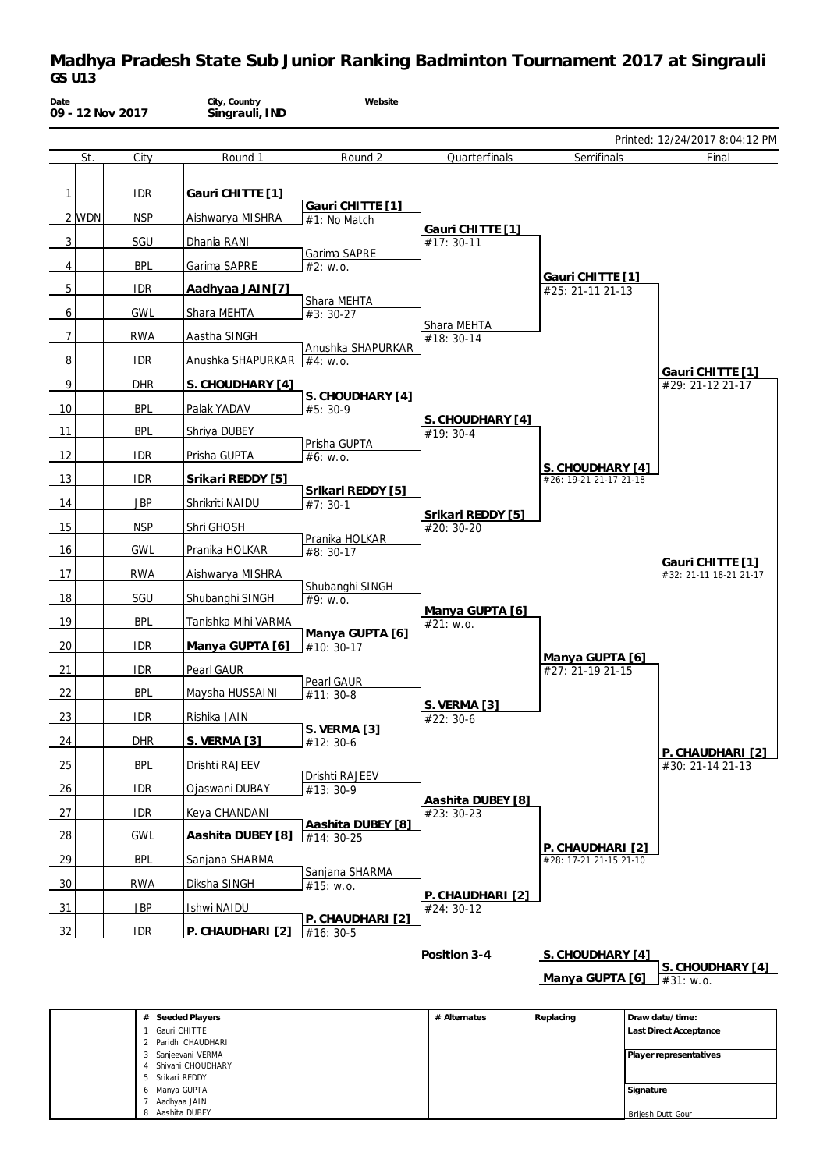| Date           |       | 09 - 12 Nov 2017 | City, Country<br>Singrauli, IND | Website                             |                                 |                                            |                                            |
|----------------|-------|------------------|---------------------------------|-------------------------------------|---------------------------------|--------------------------------------------|--------------------------------------------|
|                |       |                  |                                 |                                     |                                 |                                            | Printed: 12/24/2017 8:04:12 PM             |
|                | St.   | City             | Round 1                         | Round 2                             | Quarterfinals                   | Semifinals                                 | Final                                      |
| 1              |       | <b>IDR</b>       | Gauri CHITTE [1]                |                                     |                                 |                                            |                                            |
|                | 2 WDN | <b>NSP</b>       | Aishwarya MISHRA                | Gauri CHITTE [1]<br>#1: No Match    |                                 |                                            |                                            |
| 3              |       | SGU              | Dhania RANI                     |                                     | Gauri CHITTE [1]<br>#17: 30-11  |                                            |                                            |
| 4              |       | <b>BPL</b>       | Garima SAPRE                    | Garima SAPRE<br>#2: W.0.            |                                 |                                            |                                            |
| 5              |       | <b>IDR</b>       | Aadhyaa JAIN [7]                |                                     |                                 | Gauri CHITTE [1]<br>#25: 21-11 21-13       |                                            |
| 6              |       | <b>GWL</b>       | Shara MEHTA                     | Shara MEHTA<br>$#3:30-27$           |                                 |                                            |                                            |
| $\overline{7}$ |       | <b>RWA</b>       | Aastha SINGH                    |                                     | Shara MEHTA<br>#18: 30-14       |                                            |                                            |
| 8              |       | <b>IDR</b>       | Anushka SHAPURKAR $ #4$ : w.o.  | Anushka SHAPURKAR                   |                                 |                                            |                                            |
| 9              |       | <b>DHR</b>       | S. CHOUDHARY [4]                |                                     |                                 |                                            | Gauri CHITTE [1]<br>#29: 21-12 21-17       |
| 10             |       | <b>BPL</b>       | Palak YADAV                     | S. CHOUDHARY [4]<br>$#5:30-9$       |                                 |                                            |                                            |
| 11             |       | <b>BPL</b>       | Shriya DUBEY                    |                                     | S. CHOUDHARY [4]<br>#19: 30-4   |                                            |                                            |
| 12             |       | <b>IDR</b>       | Prisha GUPTA                    | Prisha GUPTA<br>#6: W.0.            |                                 |                                            |                                            |
| 13             |       | <b>IDR</b>       | Srikari REDDY [5]               |                                     |                                 | S. CHOUDHARY [4]<br>#26: 19-21 21-17 21-18 |                                            |
| 14             |       | <b>JBP</b>       | Shrikriti NAIDU                 | Srikari REDDY [5]<br>$#7:30-1$      |                                 |                                            |                                            |
| 15             |       | <b>NSP</b>       | Shri GHOSH                      |                                     | Srikari REDDY [5]<br>#20: 30-20 |                                            |                                            |
| 16             |       | <b>GWL</b>       | Pranika HOLKAR                  | Pranika HOLKAR<br>#8: 30-17         |                                 |                                            |                                            |
| 17             |       | <b>RWA</b>       | Aishwarya MISHRA                |                                     |                                 |                                            | Gauri CHITTE [1]<br>#32: 21-11 18-21 21-17 |
| 18             |       | SGU              | Shubanghi SINGH                 | Shubanghi SINGH<br>#9: W.0.         |                                 |                                            |                                            |
| 19             |       | <b>BPL</b>       | Tanishka Mihi VARMA             |                                     | Manya GUPTA [6]<br>#21: w.o.    |                                            |                                            |
| 20             |       | <b>IDR</b>       | Manya GUPTA [6]                 | Manya GUPTA [6]<br>$#10: 30-17$     |                                 |                                            |                                            |
| 21             |       | <b>IDR</b>       | Pearl GAUR                      |                                     |                                 | Manya GUPTA [6]<br>#27: 21-19 21-15        |                                            |
| 22             |       | <b>BPL</b>       | Maysha HUSSAINI                 | Pearl GAUR<br>$#11: 30-8$           |                                 |                                            |                                            |
| 23             |       | <b>IDR</b>       | Rishika JAIN                    |                                     | S. VERMA [3]<br>#22: 30-6       |                                            |                                            |
| 24             |       | <b>DHR</b>       | S. VERMA [3]                    | <b>S. VERMA [3]</b><br>#12: 30-6    |                                 |                                            |                                            |
| 25             |       | <b>BPL</b>       | Drishti RAJEEV                  |                                     |                                 |                                            | P. CHAUDHARI [2]<br>#30: 21-14 21-13       |
| 26             |       | <b>IDR</b>       | Ojaswani DUBAY                  | Drishti RAJEEV<br>#13:30-9          |                                 |                                            |                                            |
| 27             |       | <b>IDR</b>       | Keya CHANDANI                   |                                     | Aashita DUBEY [8]<br>#23: 30-23 |                                            |                                            |
| <u>28</u>      |       | <b>GWL</b>       | Aashita DUBEY [8]               | Aashita DUBEY [8]<br>$\pm 14:30-25$ |                                 |                                            |                                            |
| 29             |       | <b>BPL</b>       | Sanjana SHARMA                  |                                     |                                 | P. CHAUDHARI [2]<br>#28: 17-21 21-15 21-10 |                                            |
| 30             |       | <b>RWA</b>       | Diksha SINGH                    | Sanjana SHARMA<br>#15: W.0.         |                                 |                                            |                                            |
| 31             |       | JBP              | Ishwi NAIDU                     |                                     | P. CHAUDHARI [2]<br>#24: 30-12  |                                            |                                            |
| 32             |       | <b>IDR</b>       | P. CHAUDHARI [2]                | P. CHAUDHARI [2]<br>$#16:30-5$      |                                 |                                            |                                            |
|                |       |                  |                                 |                                     | Position 3-4                    | S. CHOUDHARY [4]                           |                                            |
|                |       |                  |                                 |                                     |                                 | Manya GUPTA [6]                            | S. CHOUDHARY [4]<br>#31: w.o.              |

| # Seeded Players    | # Alternates | Replacing | Draw date/time:        |
|---------------------|--------------|-----------|------------------------|
| Gauri CHITTE        |              |           | Last Direct Acceptance |
| 2 Paridhi CHAUDHARI |              |           |                        |
| 3 Sanjeevani VERMA  |              |           | Player representatives |
| Shivani CHOUDHARY   |              |           |                        |
| 5 Srikari REDDY     |              |           |                        |
| 6 Manya GUPTA       |              |           | Signature              |
| Aadhyaa JAIN        |              |           |                        |
| 8 Aashita DUBEY     |              |           | Brijesh Dutt Gour      |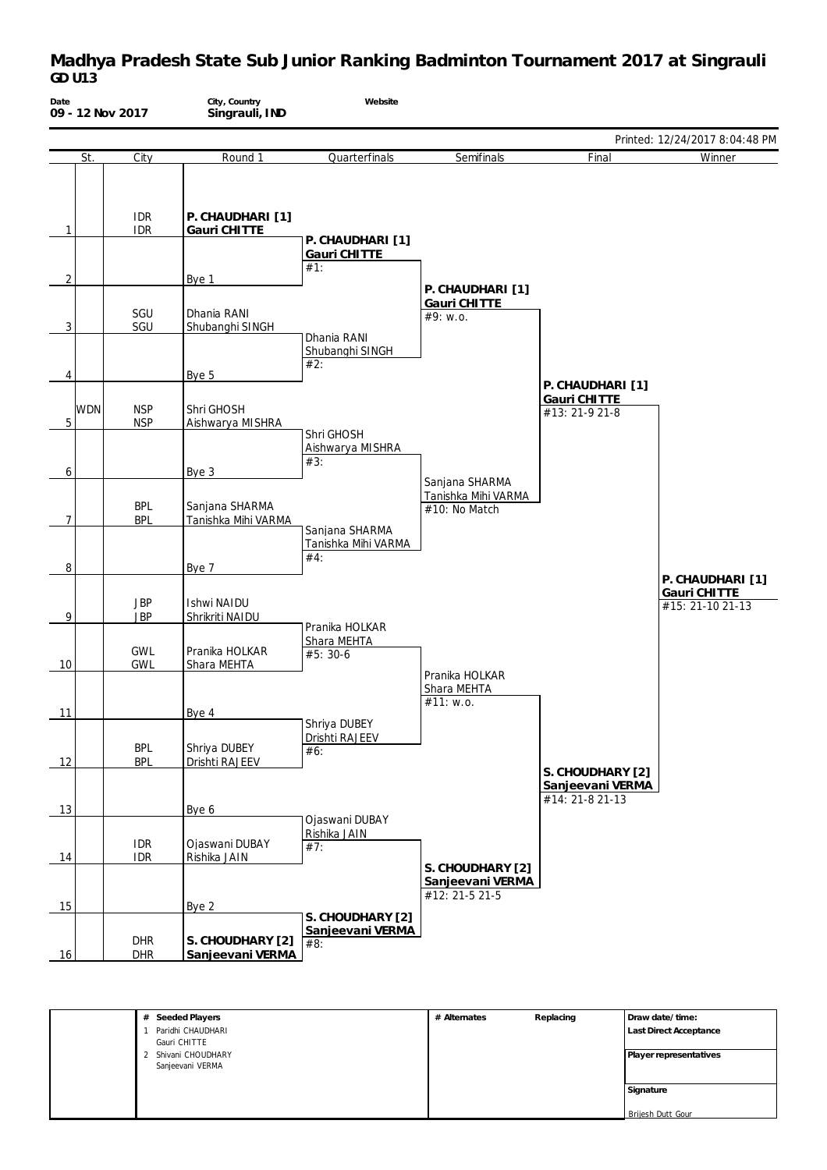| Date           |            | 09 - 12 Nov 2017         | City, Country<br>Singrauli, IND       | Website                                      |                                                        |                                                         |                                                      |
|----------------|------------|--------------------------|---------------------------------------|----------------------------------------------|--------------------------------------------------------|---------------------------------------------------------|------------------------------------------------------|
|                |            |                          |                                       |                                              |                                                        |                                                         | Printed: 12/24/2017 8:04:48 PM                       |
|                | St.        | City                     | Round 1                               | Quarterfinals                                | Semifinals                                             | Final                                                   | Winner                                               |
| $\mathbf{1}$   |            | <b>IDR</b><br><b>IDR</b> | P. CHAUDHARI [1]<br>Gauri CHITTE      |                                              |                                                        |                                                         |                                                      |
|                |            |                          |                                       | P. CHAUDHARI [1]<br>Gauri CHITTE<br>#1:      |                                                        |                                                         |                                                      |
| $\overline{2}$ |            |                          | Bye 1                                 |                                              | P. CHAUDHARI [1]                                       |                                                         |                                                      |
| 3              |            | SGU<br>SGU               | Dhania RANI<br>Shubanghi SINGH        | Dhania RANI                                  | Gauri CHITTE<br>#9: w.o.                               |                                                         |                                                      |
| 4              |            |                          | Bye 5                                 | Shubanghi SINGH<br>#2:                       |                                                        |                                                         |                                                      |
| 5              | <b>WDN</b> | <b>NSP</b><br><b>NSP</b> | Shri GHOSH<br>Aishwarya MISHRA        |                                              |                                                        | P. CHAUDHARI [1]<br>Gauri CHITTE<br>#13: 21-9 21-8      |                                                      |
| 6              |            |                          | Bye 3                                 | Shri GHOSH<br>Aishwarya MISHRA<br>#3:        |                                                        |                                                         |                                                      |
| 7              |            | <b>BPL</b><br><b>BPL</b> | Sanjana SHARMA<br>Tanishka Mihi VARMA |                                              | Sanjana SHARMA<br>Tanishka Mihi VARMA<br>#10: No Match |                                                         |                                                      |
| 8              |            |                          | Bye 7                                 | Sanjana SHARMA<br>Tanishka Mihi VARMA<br>#4: |                                                        |                                                         |                                                      |
| 9              |            | <b>JBP</b><br><b>JBP</b> | <b>Ishwi NAIDU</b><br>Shrikriti NAIDU |                                              |                                                        |                                                         | P. CHAUDHARI [1]<br>Gauri CHITTE<br>#15: 21-10 21-13 |
| 10             |            | <b>GWL</b><br><b>GWL</b> | Pranika HOLKAR<br>Shara MEHTA         | Pranika HOLKAR<br>Shara MEHTA<br>#5: 30-6    |                                                        |                                                         |                                                      |
| 11             |            |                          | Bye 4                                 |                                              | Pranika HOLKAR<br>Shara MEHTA<br>#11: w.o.             |                                                         |                                                      |
|                |            | <b>BPL</b>               | Shriya DUBEY                          | Shriya DUBEY<br>Drishti RAJEEV<br>#6:        |                                                        |                                                         |                                                      |
| 12             |            | <b>BPL</b>               | Drishti RAJEEV                        |                                              |                                                        | S. CHOUDHARY [2]<br>Sanjeevani VERMA<br>#14: 21-8 21-13 |                                                      |
| 13             |            |                          | Bye 6                                 | Ojaswani DUBAY                               |                                                        |                                                         |                                                      |
| 14             |            | <b>IDR</b><br><b>IDR</b> | Ojaswani DUBAY<br>Rishika JAIN        | Rishika JAIN<br>#7:                          |                                                        |                                                         |                                                      |
| 15             |            |                          | Bye 2                                 |                                              | S. CHOUDHARY [2]<br>Sanjeevani VERMA<br>#12: 21-5 21-5 |                                                         |                                                      |
| 16             |            | <b>DHR</b><br><b>DHR</b> | S. CHOUDHARY [2]<br>Sanjeevani VERMA  | S. CHOUDHARY [2]<br>Sanjeevani VERMA<br>#8:  |                                                        |                                                         |                                                      |

| # Seeded Players    | # Alternates | Replacing | Draw date/time:        |
|---------------------|--------------|-----------|------------------------|
| Paridhi CHAUDHARI   |              |           | Last Direct Acceptance |
| Gauri CHITTE        |              |           |                        |
| 2 Shivani CHOUDHARY |              |           | Player representatives |
| Sanjeevani VERMA    |              |           |                        |
|                     |              |           |                        |
|                     |              |           | Signature              |
|                     |              |           |                        |
|                     |              |           | Brijesh Dutt Gour      |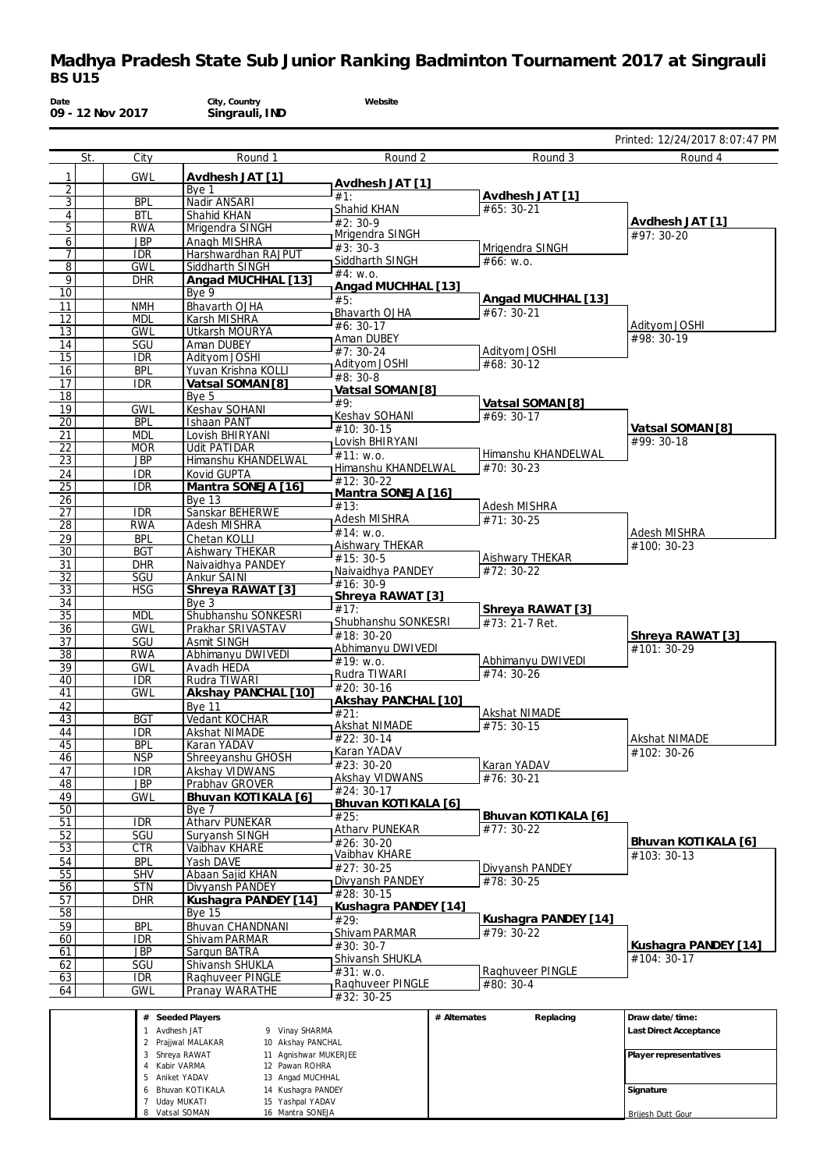| Date                               |     | 09 - 12 Nov 2017         | City, Country<br>Singrauli, IND                              | Website                             |                                    |                                    |
|------------------------------------|-----|--------------------------|--------------------------------------------------------------|-------------------------------------|------------------------------------|------------------------------------|
|                                    |     |                          |                                                              |                                     |                                    | Printed: 12/24/2017 8:07:47 PM     |
|                                    | St. | City                     | Round 1                                                      | Round 2                             | Round 3                            | Round 4                            |
| 1                                  |     | <b>GWL</b>               | Avdhesh JAT [1]                                              | Avdhesh JAT [1]                     |                                    |                                    |
| $\overline{2}$                     |     |                          | Bye 1                                                        | #1:                                 | Avdhesh JAT [1]                    |                                    |
| $\overline{3}$<br>$\overline{4}$   |     | <b>BPL</b><br><b>BTL</b> | Nadir ANSARI<br>Shahid KHAN                                  | Shahid KHAN                         | #65: 30-21                         |                                    |
| $\overline{5}$                     |     | <b>RWA</b>               | Mrigendra SINGH                                              | $#2: 30-9$                          |                                    | Avdhesh JAT [1]                    |
| 6                                  |     | <b>JBP</b>               | Anagh MISHRA                                                 | Mrigendra SINGH<br>$#3:30-3$        | Mrigendra SINGH                    | #97: 30-20                         |
| 7                                  |     | <b>IDR</b>               | Harshwardhan RAJPUT                                          | Siddharth SINGH                     | #66: W.0.                          |                                    |
| 8<br>$\overline{9}$                |     | <b>GWL</b>               | Siddharth SINGH                                              | #4: W.0.                            |                                    |                                    |
| 10                                 |     | <b>DHR</b>               | Angad MUCHHAL [13]<br>Bye 9                                  | Angad MUCHHAL [13]                  |                                    |                                    |
| 11                                 |     | <b>NMH</b>               | Bhavarth OJHA                                                | #5:                                 | Angad MUCHHAL [13]                 |                                    |
| 12                                 |     | <b>MDL</b>               | <b>Karsh MISHRA</b>                                          | Bhavarth OJHA<br>#6: 30-17          | #67: 30-21                         | Adityom JOSHI                      |
| 13                                 |     | <b>GWL</b>               | Utkarsh MOURYA                                               | <b>Aman DUBEY</b>                   |                                    | #98: 30-19                         |
| 14<br>15                           |     | SGU<br><b>IDR</b>        | Aman DUBEY<br>Adityom JOSHI                                  | $#7: 30-24$                         | Adityom JOSHI                      |                                    |
| 16                                 |     | <b>BPL</b>               | Yuvan Krishna KOLLI                                          | Adityom JOSHI                       | #68: 30-12                         |                                    |
| 17                                 |     | <b>IDR</b>               | Vatsal SOMAN [8]                                             | #8: 30-8                            |                                    |                                    |
| 18                                 |     |                          | Bye 5                                                        | Vatsal SOMAN [8]<br>#9:             | Vatsal SOMAN [8]                   |                                    |
| 19                                 |     | <b>GWL</b>               | Keshav SOHANI                                                | Keshav SOHANI                       | #69: 30-17                         |                                    |
| 20                                 |     | <b>BPL</b><br><b>MDL</b> | <b>Ishaan PANT</b><br>Lovish BHIRYANI                        | #10: 30-15                          |                                    | Vatsal SOMAN [8]                   |
| 21<br>22                           |     | <b>MOR</b>               | <b>Udit PATIDAR</b>                                          | Lovish BHIRYANI                     |                                    | #99: 30-18                         |
| 23                                 |     | <b>JBP</b>               | Himanshu KHANDELWAL                                          | #11: W.0.                           | Himanshu KHANDELWAL                |                                    |
| 24                                 |     | <b>IDR</b>               | Kovid GUPTA                                                  | Himanshu KHANDELWAL<br>#12: 30-22   | #70: 30-23                         |                                    |
| 25                                 |     | <b>IDR</b>               | Mantra SONEJA [16]                                           | Mantra SONEJA [16]                  |                                    |                                    |
| 26<br>$\overline{27}$              |     | <b>IDR</b>               | <b>Bye 13</b><br>Sanskar BEHERWE                             | #13:                                | Adesh MISHRA                       |                                    |
| 28                                 |     | <b>RWA</b>               | Adesh MISHRA                                                 | Adesh MISHRA                        | #71: 30-25                         |                                    |
| 29                                 |     | <b>BPL</b>               | Chetan KOLLI                                                 | #14: w.o.                           |                                    | Adesh MISHRA                       |
| 30                                 |     | <b>BGT</b>               | Aishwary THEKAR                                              | <b>Aishwary THEKAR</b><br>#15: 30-5 | Aishwary THEKAR                    | #100: 30-23                        |
| 31                                 |     | <b>DHR</b>               | Naivaidhya PANDEY                                            | Naivaidhya PANDEY                   | #72: 30-22                         |                                    |
| $\overline{32}$<br>33              |     | SGU<br><b>HSG</b>        | Ankur SAINI<br>Shreya RAWAT [3]                              | $#16: 30-9$                         |                                    |                                    |
| 34                                 |     |                          | Bye3                                                         | Shreya RAWAT [3]                    |                                    |                                    |
| 35                                 |     | <b>MDL</b>               | Shubhanshu SONKESRI                                          | #17:<br>Shubhanshu SONKESRI         | Shreya RAWAT [3]<br>#73: 21-7 Ret. |                                    |
| 36                                 |     | <b>GWL</b>               | Prakhar SRIVASTAV                                            | #18: 30-20                          |                                    | Shreya RAWAT [3]                   |
| $\overline{37}$<br>$\overline{38}$ |     | SGU<br><b>RWA</b>        | Asmit SINGH                                                  | Abhimanyu DWIVEDI                   |                                    | #101: 30-29                        |
| 39                                 |     | <b>GWL</b>               | Abhimanyu DWIVEDI<br>Avadh HEDA                              | #19: w.o.                           | Abhimanyu DWIVEDI                  |                                    |
| 40                                 |     | <b>IDR</b>               | Rudra TIWARI                                                 | Rudra TIWARI                        | $#74:30-26$                        |                                    |
| 41                                 |     | <b>GWL</b>               | Akshay PANCHAL [10]                                          | #20: 30-16<br>Akshay PANCHAL [10]   |                                    |                                    |
| 42                                 |     |                          | <b>Bve 11</b>                                                | #21:                                | Akshat NIMADE                      |                                    |
| 43<br>44                           |     | <b>BGT</b>               | Vedant KOCHAR<br>Akshat NIMADE                               | Akshat NIMADE                       | #75: 30-15                         |                                    |
| 45                                 |     | idr<br><b>BPL</b>        | Karan YADAV                                                  | #22: 30-14                          |                                    | Akshat NIMADE                      |
| 46                                 |     | <b>NSP</b>               | Shreeyanshu GHOSH                                            | Karan YADAV                         |                                    | #102: 30-26                        |
| 47                                 |     | <b>IDR</b>               | Akshav VIDWANS                                               | #23:30-20<br><b>Akshay VIDWANS</b>  | Karan YADAV<br>#76: 30-21          |                                    |
| 48                                 |     | <b>JBP</b>               | Prabhav GROVER                                               | #24: 30-17                          |                                    |                                    |
| 49<br>50                           |     | <b>GWL</b>               | Bhuvan KOTIKALA [6]<br>Bye 7                                 | Bhuvan KOTIKALA [6]                 |                                    |                                    |
| 51                                 |     | IDR                      | <b>Atharv PUNEKAR</b>                                        | #25:                                | Bhuvan KOTIKALA [6]                |                                    |
| 52                                 |     | SGU                      | Suryansh SINGH                                               | Atharv PUNEKAR                      | #77: 30-22                         |                                    |
| 53                                 |     | CTR                      | Vaibhav KHARE                                                | #26: 30-20<br>Vaibhav KHARE         |                                    | Bhuvan KOTIKALA [6]<br>#103: 30-13 |
| 54                                 |     | <b>BPL</b>               | Yash DAVE                                                    | #27: 30-25                          | Divyansh PANDEY                    |                                    |
| 55<br>56                           |     | <b>SHV</b><br><b>STN</b> | Abaan Sajid KHAN<br>Divyansh PANDEY                          | Divyansh PANDEY                     | #78: 30-25                         |                                    |
| 57                                 |     | <b>DHR</b>               | Kushagra PANDEY [14]                                         | #28: 30-15                          |                                    |                                    |
| $\overline{58}$                    |     |                          | <b>Bye 15</b>                                                | Kushagra PANDEY [14]                |                                    |                                    |
| 59                                 |     | <b>BPL</b>               | Bhuvan CHANDNANI                                             | #29:                                | Kushagra PANDEY [14]<br>#79: 30-22 |                                    |
| 60                                 |     | <b>IDR</b>               | Shivam PARMAR                                                | Shivam PARMAR<br>$#30:30-7$         |                                    | Kushagra PANDEY [14]               |
| 61                                 |     | <b>JBP</b>               | Sargun BATRA                                                 | <b>Shivansh SHUKLA</b>              |                                    | #104: 30-17                        |
| 62<br>63                           |     | SGU<br><b>IDR</b>        | Shivansh SHUKLA<br>Raghuveer PINGLE                          | #31: w.o.                           | Raghuveer PINGLE                   |                                    |
| 64                                 |     | <b>GWL</b>               | Pranay WARATHE                                               | Raghuveer PINGLE                    | #80: 30-4                          |                                    |
|                                    |     |                          |                                                              | #32: 30-25                          |                                    |                                    |
|                                    |     |                          | # Seeded Players                                             | # Alternates                        | Replacing                          | Draw date/time:                    |
|                                    |     |                          | 9 Vinay SHARMA<br>1 Avdhesh JAT<br>2 Prajjwal MALAKAR        |                                     |                                    | Last Direct Acceptance             |
|                                    |     |                          | 10 Akshay PANCHAL<br>3 Shreya RAWAT<br>11 Agnishwar MUKERJEE |                                     |                                    | Player representatives             |
|                                    |     |                          | 4 Kabir VARMA<br>12 Pawan ROHRA                              |                                     |                                    |                                    |
|                                    |     |                          | Aniket YADAV<br>13 Angad MUCHHAL                             |                                     |                                    |                                    |

 Aniket YADAV Bhuvan KOTIKALA Uday MUKATI Vatsal SOMAN Angad MUCHHAL Kushagra PANDEY Yashpal YADAV Mantra SONEJA **Signature** Brijesh Dutt Gour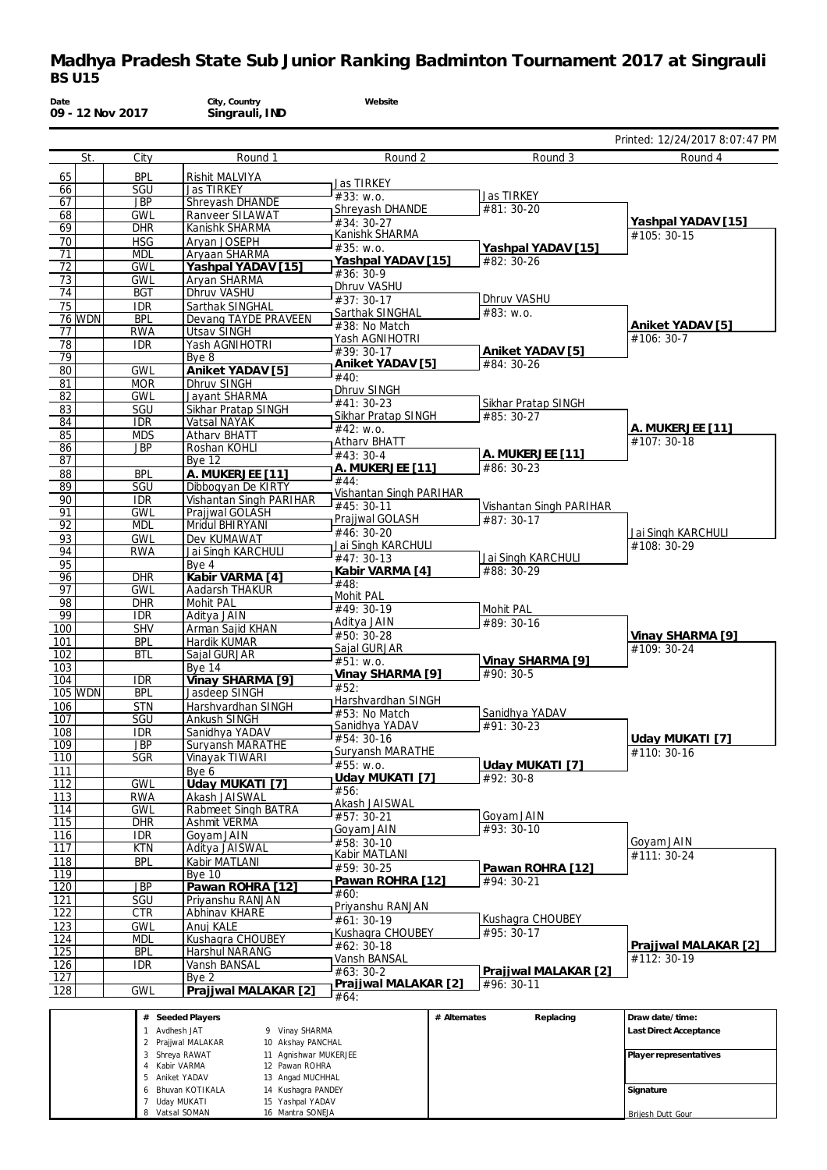| Date                    |                | 09 - 12 Nov 2017         | City, Country<br>Singrauli, IND                                       | Website                        |              |                                |                                |
|-------------------------|----------------|--------------------------|-----------------------------------------------------------------------|--------------------------------|--------------|--------------------------------|--------------------------------|
|                         |                |                          |                                                                       |                                |              |                                | Printed: 12/24/2017 8:07:47 PM |
|                         | St.            | City                     | Round 1                                                               | Round 2                        |              | Round 3                        | Round 4                        |
| 65                      |                | <b>BPL</b>               | Rishit MALVIYA                                                        | Jas TIRKEY                     |              |                                |                                |
| 66<br>67                |                | SGU<br><b>JBP</b>        | <b>Jas TIRKEY</b><br>Shreyash DHANDE                                  | #33: w.o.                      |              | Jas TIRKEY                     |                                |
| 68                      |                | <b>GWL</b>               | Ranveer SILAWAT                                                       | Shreyash DHANDE                |              | #81: 30-20                     |                                |
| 69                      |                | <b>DHR</b>               | Kanishk SHARMA                                                        | #34: 30-27                     |              |                                | Yashpal YADAV [15]             |
| 70                      |                | <b>HSG</b>               | Aryan JOSEPH                                                          | Kanishk SHARMA<br>#35: w.o.    |              | Yashpal YADAV [15]             | #105: 30-15                    |
| 71                      |                | <b>MDL</b>               | Aryaan SHARMA                                                         | Yashpal YADAV [15]             |              | #82: 30-26                     |                                |
| 72                      |                | <b>GWL</b>               | Yashpal YADAV [15]                                                    | $#36:30-9$                     |              |                                |                                |
| 73                      |                | <b>GWL</b><br><b>BGT</b> | Aryan SHARMA<br><b>Dhruv VASHU</b>                                    | Dhruv VASHU                    |              |                                |                                |
| 74<br>75                |                | <b>IDR</b>               | Sarthak SINGHAL                                                       | $#37:30-17$                    |              | Dhruv VASHU                    |                                |
|                         | <b>76 WDN</b>  | <b>BPL</b>               | Devang TAYDE PRAVEEN                                                  | Sarthak SINGHAL                |              | #83: w.o.                      |                                |
| 77                      |                | <b>RWA</b>               | <b>Utsav SINGH</b>                                                    | #38: No Match                  |              |                                | Aniket YADAV [5]               |
| 78                      |                | <b>IDR</b>               | Yash AGNIHOTRI                                                        | Yash AGNIHOTRI                 |              |                                | #106: 30-7                     |
| 79                      |                |                          | Bye 8                                                                 | #39: 30-17<br>Aniket YADAV [5] |              | Aniket YADAV [5]<br>#84: 30-26 |                                |
| 80                      |                | <b>GWL</b>               | Aniket YADAV [5]                                                      | #40:                           |              |                                |                                |
| 81                      |                | <b>MOR</b>               | <b>Dhruv SINGH</b>                                                    | Dhruv SINGH                    |              |                                |                                |
| 82                      |                | <b>GWL</b><br>SGU        | Jayant SHARMA<br>Sikhar Pratap SINGH                                  | #41: 30-23                     |              | Sikhar Pratap SINGH            |                                |
| 83<br>84                |                | <b>IDR</b>               | Vatsal NAYAK                                                          | Sikhar Pratap SINGH            |              | #85: 30-27                     |                                |
| 85                      |                | <b>MDS</b>               | Atharv BHATT                                                          | #42: w.o.                      |              |                                | A. MUKERJEE [11]               |
| 86                      |                | <b>JBP</b>               | Roshan KOHLI                                                          | Athary BHATT                   |              |                                | #107: 30-18                    |
| 87                      |                |                          | Bye 12                                                                | $#43:30-4$                     |              | A. MUKERJEE [11]<br>#86: 30-23 |                                |
| 88                      |                | <b>BPL</b>               | A. MUKERJEE [11]                                                      | A. MUKERJEE [11]<br>#44:       |              |                                |                                |
| 89                      |                | SGU                      | Dibbogyan De KIRTY                                                    | Vishantan Singh PARIHAR        |              |                                |                                |
| 90                      |                | <b>IDR</b>               | Vishantan Singh PARIHAR                                               | #45: 30-11                     |              | Vishantan Singh PARIHAR        |                                |
| 91<br>92                |                | <b>GWL</b><br><b>MDL</b> | Prajjwal GOLASH<br>Mridul BHIRYANI                                    | Prajjwal GOLASH                |              | #87: 30-17                     |                                |
| 93                      |                | <b>GWL</b>               | Dev KUMAWAT                                                           | #46: 30-20                     |              |                                | Jai Singh KARCHULI             |
| 94                      |                | <b>RWA</b>               | Jai Singh KARCHULI                                                    | Jai Singh KARCHULI             |              |                                | #108: 30-29                    |
| 95                      |                |                          | Bye 4                                                                 | #47: 30-13                     |              | Jai Singh KARCHULI             |                                |
| 96                      |                | <b>DHR</b>               | Kabir VARMA [4]                                                       | Kabir VARMA [4]<br>#48:        |              | #88: 30-29                     |                                |
| 97                      |                | <b>GWL</b>               | Aadarsh THAKUR                                                        | Mohit PAL                      |              |                                |                                |
| 98                      |                | <b>DHR</b>               | Mohit PAL                                                             | #49: 30-19                     |              | Mohit PAL                      |                                |
| 99<br>100               |                | <b>IDR</b><br><b>SHV</b> | Aditya JAIN<br>Arman Sajid KHAN                                       | Aditya JAIN                    |              | #89: 30-16                     |                                |
| 101                     |                | <b>BPL</b>               | Hardik KUMAR                                                          | #50: 30-28                     |              |                                | Vinay SHARMA [9]               |
| 102                     |                | <b>BTL</b>               | Sajal GURJAR                                                          | Sajal GURJAR                   |              |                                | #109: 30-24                    |
| 103                     |                |                          | <b>Bve 14</b>                                                         | #51: w.o.<br>Vinay SHARMA [9]  |              | Vinay SHARMA [9]<br>#90: 30-5  |                                |
| 104                     |                | <b>IDR</b>               | Vinay SHARMA [9]                                                      | #52:                           |              |                                |                                |
|                         | <b>105 WDN</b> | <b>BPL</b>               | Jasdeep SINGH                                                         | Harshvardhan SINGH             |              |                                |                                |
| 106                     |                | <b>STN</b>               | Harshvardhan SINGH                                                    | #53: No Match                  |              | Sanidhya YADAV                 |                                |
| $\overline{107}$<br>108 |                | <b>SGU</b><br><b>IDR</b> | <b>Ankush SINGH</b><br>Sanidhya YADAV                                 | Sanidhya YADAV                 |              | #91: 30-23                     |                                |
| 109                     |                | <b>JBP</b>               | Suryansh MARATHE                                                      | #54: 30-16                     |              |                                | Uday MUKATI [7]                |
| $\overline{110}$        |                | <b>SGR</b>               | Vinayak TIWARI                                                        | Suryansh MARATHE               |              |                                | #110: 30-16                    |
| 111                     |                |                          | Bye 6                                                                 | #55: W.0.                      |              | Uday MUKATI [7]                |                                |
| $\overline{112}$        |                | <b>GWL</b>               | Uday MUKATI [7]                                                       | Uday MUKATI [7]<br>#56:        |              | #92: 30-8                      |                                |
| 113                     |                | <b>RWA</b>               | Akash JAISWAL                                                         | Akash JAISWAL                  |              |                                |                                |
| $\overline{114}$        |                | <b>GWL</b>               | <b>Rabmeet Singh BATRA</b>                                            | #57: 30-21                     |              | Goyam JAIN                     |                                |
| $\overline{115}$<br>116 |                | <b>DHR</b><br><b>IDR</b> | Ashmit VERMA<br>Goyam JAIN                                            | Goyam JAIN                     |              | #93: 30-10                     |                                |
| $\overline{117}$        |                | <b>KTN</b>               | Aditya JAISWAL                                                        | $#58:30-10$                    |              |                                | Goyam JAIN                     |
| <u>118</u>              |                | <b>BPL</b>               | Kabir MATLANI                                                         | Kabir MATLANI                  |              |                                | #111: 30-24                    |
| 119                     |                |                          | <b>Bve 10</b>                                                         | #59: 30-25                     |              | Pawan ROHRA [12]               |                                |
| 120                     |                | <b>JBP</b>               | Pawan ROHRA [12]                                                      | Pawan ROHRA [12]               |              | #94: 30-21                     |                                |
| 121                     |                | SGU                      | Priyanshu RANJAN                                                      | #60:<br>Priyanshu RANJAN       |              |                                |                                |
| 122                     |                | CTR                      | Abhinav KHARE                                                         | #61: 30-19                     |              | Kushagra CHOUBEY               |                                |
| 123                     |                | <b>GWL</b>               | Anuj KALE                                                             | Kushagra CHOUBEY               |              | #95: 30-17                     |                                |
| 124<br>125              |                | <b>MDL</b><br><b>BPL</b> | Kushaqra CHOUBEY<br>Harshul NARANG                                    | #62: 30-18                     |              |                                | Prajjwal MALAKAR [2]           |
| 126                     |                | <b>IDR</b>               | Vansh BANSAL                                                          | Vansh BANSAL                   |              |                                | #112: 30-19                    |
| 127                     |                |                          | Bye 2                                                                 | #63: 30-2                      |              | Prajjwal MALAKAR [2]           |                                |
| 128                     |                | <b>GWL</b>               | Prajjwal MALAKAR [2]                                                  | Prajjwal MALAKAR [2]<br>#64:   |              | #96: 30-11                     |                                |
|                         |                |                          | # Seeded Players                                                      |                                | # Alternates | Replacing                      | Draw date/time:                |
|                         |                |                          | 1 Avdhesh JAT<br>9 Vinay SHARMA                                       |                                |              |                                | Last Direct Acceptance         |
|                         |                |                          | 10 Akshay PANCHAL<br>2 Prajjwal MALAKAR                               |                                |              |                                |                                |
|                         |                |                          | 3 Shreya RAWAT<br>11 Agnishwar MUKERJEE                               |                                |              |                                | Player representatives         |
|                         |                |                          | 12 Pawan ROHRA<br>4 Kabir VARMA<br>5 Aniket YADAV<br>13 Angad MUCHHAL |                                |              |                                |                                |
|                         |                |                          | 6 Bhuvan KOTIKALA<br>14 Kushagra PANDEY                               |                                |              |                                | Signature                      |

Brijesh Dutt Gour

7 Uday MUKATI 8 Vatsal SOMAN 15 Yashpal YADAV 16 Mantra SONEJA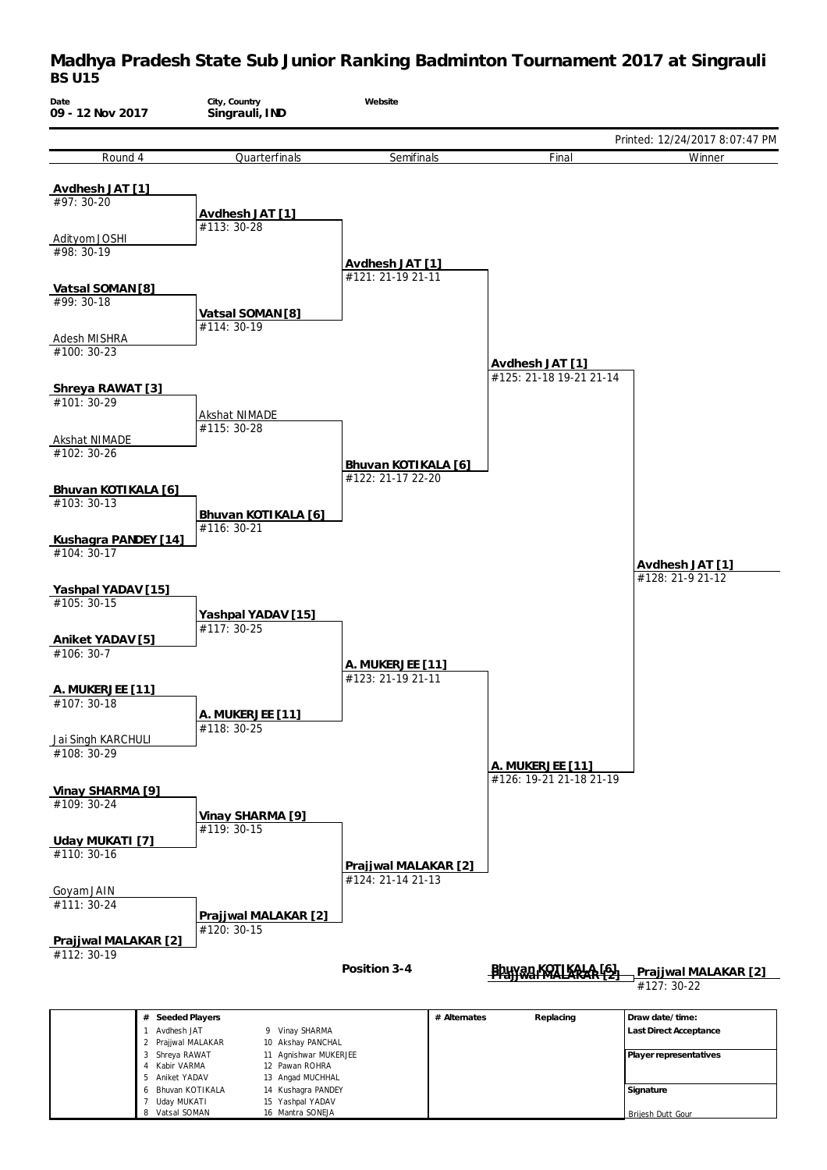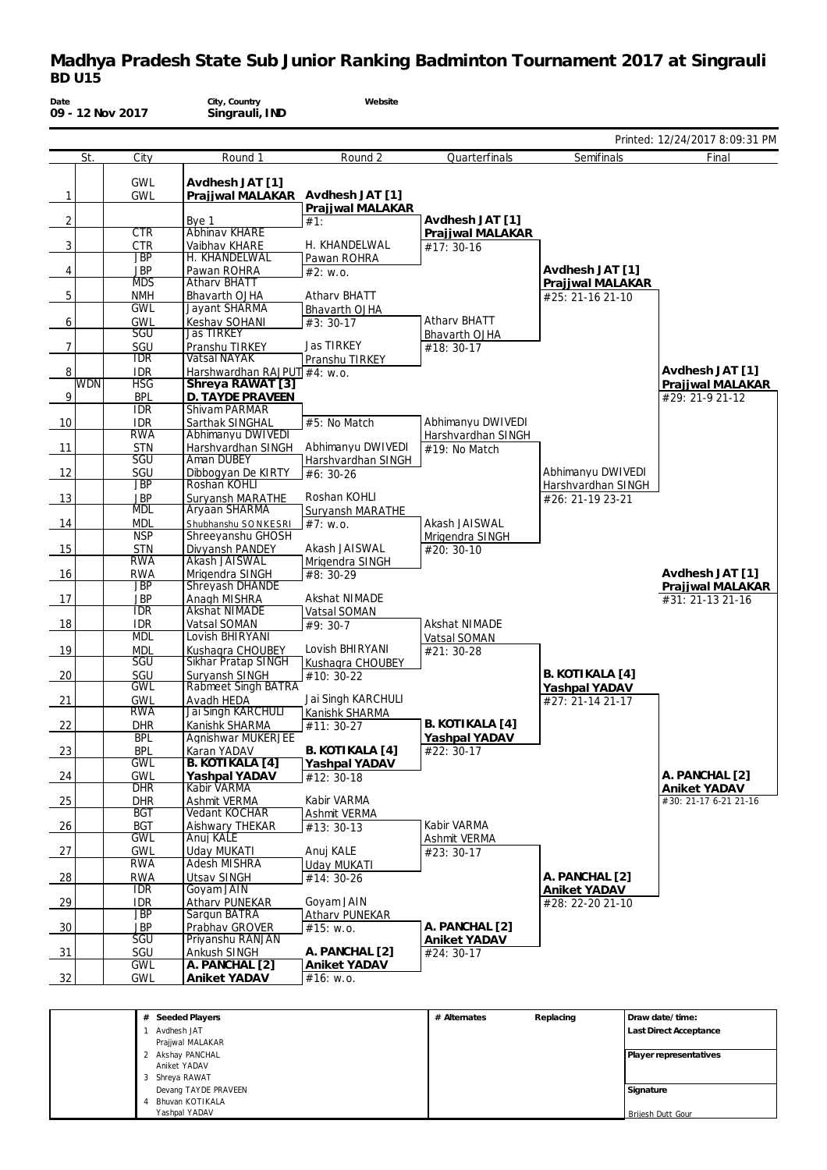| Printed: 12/24/2017 8:09:31 PM<br>Round <sub>2</sub><br>St.<br>City<br>Round 1<br>Quarterfinals<br>Semifinals<br>Final<br><b>GWL</b><br>Avdhesh JAT [1]<br>Prajjwal MALAKAR Avdhesh JAT [1]<br>$\mathbf{1}$<br><b>GWL</b><br>Prajjwal MALAKAR<br>Avdhesh JAT [1]<br>$\overline{2}$<br>Bye 1<br>#1:<br>Abhinav KHARE<br><b>CTR</b><br>Prajjwal MALAKAR<br>H. KHANDELWAL<br>$\mathbf{3}$<br><b>CTR</b><br>Vaibhav KHARE<br>#17: 30-16<br><b>JBP</b><br>H. KHANDELWAL<br>Pawan ROHRA<br>Avdhesh JAT [1]<br><b>JBP</b><br>Pawan ROHRA<br>4<br>#2: W.0.<br><b>MDS</b><br><b>Athary BHATT</b><br>Prajjwal MALAKAR<br>$5\phantom{.0}$<br><b>NMH</b><br><b>Athary BHATT</b><br>Bhavarth OJHA<br>#25: 21-16 21-10<br><b>GWL</b><br>Jayant SHARMA<br>Bhavarth OJHA<br>Atharv BHATT<br>Keshav SOHANI<br><b>GWL</b><br>6<br>$#3:30-17$<br><b>Jas TIRKEY</b><br><b>SGU</b><br>Bhavarth OJHA<br>$\overline{7}$<br>Jas TIRKEY<br>SGU<br>Pranshu TIRKEY<br>#18:30-17<br><b>IDR</b><br><b>Vatsal NAYAK</b><br>Pranshu TIRKEY<br>Avdhesh JAT [1]<br>8<br><b>IDR</b><br>Harshwardhan RAJPUT #4: w.o.<br><b>WDN</b><br><b>HSG</b><br>Shreya RAWAT [3]<br>Prajjwal MALAKAR<br>9<br><b>BPL</b><br>D. TAYDE PRAVEEN<br>#29: 21-9 21-12<br><b>IDR</b><br>Shivam PARMAR<br>#5: No Match<br>Abhimanyu DWIVEDI<br>10<br><b>IDR</b><br>Sarthak SINGHAL<br>Abhimanyu DWIVEDI<br><b>RWA</b><br>Harshvardhan SINGH<br>Abhimanyu DWIVEDI<br>11<br><b>STN</b><br>Harshvardhan SINGH<br>#19: No Match<br>Aman DUBEY<br>SGU<br>Harshvardhan SINGH<br>12<br>Abhimanyu DWIVEDI<br>SGU<br>Dibbogyan De KIRTY<br>#6: 30-26<br>Roshan KOHLI<br><b>JBP</b><br>Harshvardhan SINGH<br><b>JBP</b><br>Roshan KOHLI<br>13<br>Suryansh MARATHE<br>#26: 21-19 23-21<br>Aryaan SHARMA<br><b>MDL</b><br>Suryansh MARATHE<br>14<br>Akash JAISWAL<br><b>MDL</b><br>#7: W.0.<br>Shubhanshu SONKESRI<br><b>NSP</b><br>Shreeyanshu GHOSH<br>Mrigendra SINGH<br>Akash JAISWAL<br>15<br><b>STN</b><br>Divyansh PANDEY<br>#20: 30-10<br>Akash JAISWAL<br><b>RWA</b><br>Mrigendra SINGH<br>Avdhesh JAT [1]<br>16<br><b>RWA</b><br>Mrigendra SINGH<br>#8: 30-29<br><b>JBP</b><br>Shreyash DHANDE<br>Prajjwal MALAKAR<br><b>Akshat NIMADE</b><br>17<br><b>JBP</b><br>Anagh MISHRA<br>#31: 21-13 21-16<br><b>IDR</b><br><b>Akshat NIMADE</b><br>Vatsal SOMAN<br>18<br>Akshat NIMADE<br><b>IDR</b><br>Vatsal SOMAN<br>#9: 30-7<br>Lovish BHIRYANI<br><b>MDL</b><br>Vatsal SOMAN<br>Lovish BHIRYANI<br>19<br><b>MDL</b><br>Kushagra CHOUBEY<br>#21: 30-28<br><b>Sikhar Pratap SINGH</b><br>SGU<br>Kushagra CHOUBEY<br><b>B. KOTIKALA [4]</b><br>20<br>SGU<br>Suryansh SINGH<br>Rabmeet Singh BATRA<br>#10: 30-22<br><b>GWL</b><br>Yashpal YADAV<br>Jai Singh KARCHULI<br>21<br><b>GWL</b><br>Avadh HEDA<br>#27: 21-14 21-17<br><b>RWA</b><br>Jai Singh KARCHULI<br>Kanishk SHARMA<br>22<br>B. KOTIKALA [4]<br><b>DHR</b><br>Kanishk SHARMA<br>#11: 30-27<br><b>BPL</b><br>Agnishwar MUKERJEE<br>Yashpal YADAV<br>B. KOTIKALA [4]<br><b>BPL</b><br>Karan YADAV<br>#22: 30-17<br>23<br><b>GWL</b><br>B. KOTIKALA [4]<br>Yashpal YADAV<br>A. PANCHAL [2]<br><b>GWL</b><br>24<br>Yashpal YADAV<br>#12: 30-18<br><b>DHR</b><br>Kabir VARMA<br>Aniket YADAV<br>Kabir VARMA<br><b>DHR</b><br>#30: 21-17 6-21 21-16<br>25<br>Ashmit VERMA<br>$_{\rm BGT}$<br><b>Vedant KOCHAR</b><br>Ashmit VERMA<br>Kabir VARMA<br><b>BGT</b><br>26<br>Aishwary THEKAR<br>#13: 30-13<br><b>GWL</b><br>Anuj KALE<br>Ashmit VERMA<br>27<br>GWL<br>Uday MUKATI<br>Anui KALE<br>#23: 30-17<br><b>RWA</b><br><b>Adesh MISHRA</b><br><b>Uday MUKATI</b><br>A. PANCHAL [2]<br>$\frac{28}{2}$<br><b>RWA</b><br>Utsav SINGH<br>#14: 30-26<br><b>IDR</b><br>Goyam JAIN<br>Aniket YADAV<br>Goyam JAIN<br>$-29$<br>Atharv PUNEKAR<br><b>IDR</b><br>#28: 22-20 21-10<br><b>JBP</b><br>Sargun BATRA<br>Atharv PUNEKAR<br>A. PANCHAL [2]<br>$-30$<br><b>JBP</b><br>Prabhav GROVER<br>#15: w.o.<br><b>SGU</b><br>Priyanshu RANJAN<br>Aniket YADAV<br>A. PANCHAL [2]<br>$\frac{31}{2}$<br>SGU<br><b>Ankush SINGH</b><br>#24: 30-17<br>GWL<br>A. PANCHAL [2]<br>Aniket YADAV<br>32<br><b>GWL</b><br>Aniket YADAV<br>#16: w.o. | Date | 09 - 12 Nov 2017 | City, Country<br>Singrauli, IND | Website |  |  |
|----------------------------------------------------------------------------------------------------------------------------------------------------------------------------------------------------------------------------------------------------------------------------------------------------------------------------------------------------------------------------------------------------------------------------------------------------------------------------------------------------------------------------------------------------------------------------------------------------------------------------------------------------------------------------------------------------------------------------------------------------------------------------------------------------------------------------------------------------------------------------------------------------------------------------------------------------------------------------------------------------------------------------------------------------------------------------------------------------------------------------------------------------------------------------------------------------------------------------------------------------------------------------------------------------------------------------------------------------------------------------------------------------------------------------------------------------------------------------------------------------------------------------------------------------------------------------------------------------------------------------------------------------------------------------------------------------------------------------------------------------------------------------------------------------------------------------------------------------------------------------------------------------------------------------------------------------------------------------------------------------------------------------------------------------------------------------------------------------------------------------------------------------------------------------------------------------------------------------------------------------------------------------------------------------------------------------------------------------------------------------------------------------------------------------------------------------------------------------------------------------------------------------------------------------------------------------------------------------------------------------------------------------------------------------------------------------------------------------------------------------------------------------------------------------------------------------------------------------------------------------------------------------------------------------------------------------------------------------------------------------------------------------------------------------------------------------------------------------------------------------------------------------------------------------------------------------------------------------------------------------------------------------------------------------------------------------------------------------------------------------------------------------------------------------------------------------------------------------------------------------------------------------------------------------------------------------------------------------------------------------------------------------------------------------------------------------------------------------------------------------------------------------------------------------------------------------------------------------------------------------------------------------------------------------------------------------------------------------------------------------------------------------------------------------------------------------------------------------------------------|------|------------------|---------------------------------|---------|--|--|
|                                                                                                                                                                                                                                                                                                                                                                                                                                                                                                                                                                                                                                                                                                                                                                                                                                                                                                                                                                                                                                                                                                                                                                                                                                                                                                                                                                                                                                                                                                                                                                                                                                                                                                                                                                                                                                                                                                                                                                                                                                                                                                                                                                                                                                                                                                                                                                                                                                                                                                                                                                                                                                                                                                                                                                                                                                                                                                                                                                                                                                                                                                                                                                                                                                                                                                                                                                                                                                                                                                                                                                                                                                                                                                                                                                                                                                                                                                                                                                                                                                                                                                                      |      |                  |                                 |         |  |  |
|                                                                                                                                                                                                                                                                                                                                                                                                                                                                                                                                                                                                                                                                                                                                                                                                                                                                                                                                                                                                                                                                                                                                                                                                                                                                                                                                                                                                                                                                                                                                                                                                                                                                                                                                                                                                                                                                                                                                                                                                                                                                                                                                                                                                                                                                                                                                                                                                                                                                                                                                                                                                                                                                                                                                                                                                                                                                                                                                                                                                                                                                                                                                                                                                                                                                                                                                                                                                                                                                                                                                                                                                                                                                                                                                                                                                                                                                                                                                                                                                                                                                                                                      |      |                  |                                 |         |  |  |
|                                                                                                                                                                                                                                                                                                                                                                                                                                                                                                                                                                                                                                                                                                                                                                                                                                                                                                                                                                                                                                                                                                                                                                                                                                                                                                                                                                                                                                                                                                                                                                                                                                                                                                                                                                                                                                                                                                                                                                                                                                                                                                                                                                                                                                                                                                                                                                                                                                                                                                                                                                                                                                                                                                                                                                                                                                                                                                                                                                                                                                                                                                                                                                                                                                                                                                                                                                                                                                                                                                                                                                                                                                                                                                                                                                                                                                                                                                                                                                                                                                                                                                                      |      |                  |                                 |         |  |  |
|                                                                                                                                                                                                                                                                                                                                                                                                                                                                                                                                                                                                                                                                                                                                                                                                                                                                                                                                                                                                                                                                                                                                                                                                                                                                                                                                                                                                                                                                                                                                                                                                                                                                                                                                                                                                                                                                                                                                                                                                                                                                                                                                                                                                                                                                                                                                                                                                                                                                                                                                                                                                                                                                                                                                                                                                                                                                                                                                                                                                                                                                                                                                                                                                                                                                                                                                                                                                                                                                                                                                                                                                                                                                                                                                                                                                                                                                                                                                                                                                                                                                                                                      |      |                  |                                 |         |  |  |
|                                                                                                                                                                                                                                                                                                                                                                                                                                                                                                                                                                                                                                                                                                                                                                                                                                                                                                                                                                                                                                                                                                                                                                                                                                                                                                                                                                                                                                                                                                                                                                                                                                                                                                                                                                                                                                                                                                                                                                                                                                                                                                                                                                                                                                                                                                                                                                                                                                                                                                                                                                                                                                                                                                                                                                                                                                                                                                                                                                                                                                                                                                                                                                                                                                                                                                                                                                                                                                                                                                                                                                                                                                                                                                                                                                                                                                                                                                                                                                                                                                                                                                                      |      |                  |                                 |         |  |  |
|                                                                                                                                                                                                                                                                                                                                                                                                                                                                                                                                                                                                                                                                                                                                                                                                                                                                                                                                                                                                                                                                                                                                                                                                                                                                                                                                                                                                                                                                                                                                                                                                                                                                                                                                                                                                                                                                                                                                                                                                                                                                                                                                                                                                                                                                                                                                                                                                                                                                                                                                                                                                                                                                                                                                                                                                                                                                                                                                                                                                                                                                                                                                                                                                                                                                                                                                                                                                                                                                                                                                                                                                                                                                                                                                                                                                                                                                                                                                                                                                                                                                                                                      |      |                  |                                 |         |  |  |
|                                                                                                                                                                                                                                                                                                                                                                                                                                                                                                                                                                                                                                                                                                                                                                                                                                                                                                                                                                                                                                                                                                                                                                                                                                                                                                                                                                                                                                                                                                                                                                                                                                                                                                                                                                                                                                                                                                                                                                                                                                                                                                                                                                                                                                                                                                                                                                                                                                                                                                                                                                                                                                                                                                                                                                                                                                                                                                                                                                                                                                                                                                                                                                                                                                                                                                                                                                                                                                                                                                                                                                                                                                                                                                                                                                                                                                                                                                                                                                                                                                                                                                                      |      |                  |                                 |         |  |  |
|                                                                                                                                                                                                                                                                                                                                                                                                                                                                                                                                                                                                                                                                                                                                                                                                                                                                                                                                                                                                                                                                                                                                                                                                                                                                                                                                                                                                                                                                                                                                                                                                                                                                                                                                                                                                                                                                                                                                                                                                                                                                                                                                                                                                                                                                                                                                                                                                                                                                                                                                                                                                                                                                                                                                                                                                                                                                                                                                                                                                                                                                                                                                                                                                                                                                                                                                                                                                                                                                                                                                                                                                                                                                                                                                                                                                                                                                                                                                                                                                                                                                                                                      |      |                  |                                 |         |  |  |
|                                                                                                                                                                                                                                                                                                                                                                                                                                                                                                                                                                                                                                                                                                                                                                                                                                                                                                                                                                                                                                                                                                                                                                                                                                                                                                                                                                                                                                                                                                                                                                                                                                                                                                                                                                                                                                                                                                                                                                                                                                                                                                                                                                                                                                                                                                                                                                                                                                                                                                                                                                                                                                                                                                                                                                                                                                                                                                                                                                                                                                                                                                                                                                                                                                                                                                                                                                                                                                                                                                                                                                                                                                                                                                                                                                                                                                                                                                                                                                                                                                                                                                                      |      |                  |                                 |         |  |  |
|                                                                                                                                                                                                                                                                                                                                                                                                                                                                                                                                                                                                                                                                                                                                                                                                                                                                                                                                                                                                                                                                                                                                                                                                                                                                                                                                                                                                                                                                                                                                                                                                                                                                                                                                                                                                                                                                                                                                                                                                                                                                                                                                                                                                                                                                                                                                                                                                                                                                                                                                                                                                                                                                                                                                                                                                                                                                                                                                                                                                                                                                                                                                                                                                                                                                                                                                                                                                                                                                                                                                                                                                                                                                                                                                                                                                                                                                                                                                                                                                                                                                                                                      |      |                  |                                 |         |  |  |
|                                                                                                                                                                                                                                                                                                                                                                                                                                                                                                                                                                                                                                                                                                                                                                                                                                                                                                                                                                                                                                                                                                                                                                                                                                                                                                                                                                                                                                                                                                                                                                                                                                                                                                                                                                                                                                                                                                                                                                                                                                                                                                                                                                                                                                                                                                                                                                                                                                                                                                                                                                                                                                                                                                                                                                                                                                                                                                                                                                                                                                                                                                                                                                                                                                                                                                                                                                                                                                                                                                                                                                                                                                                                                                                                                                                                                                                                                                                                                                                                                                                                                                                      |      |                  |                                 |         |  |  |
|                                                                                                                                                                                                                                                                                                                                                                                                                                                                                                                                                                                                                                                                                                                                                                                                                                                                                                                                                                                                                                                                                                                                                                                                                                                                                                                                                                                                                                                                                                                                                                                                                                                                                                                                                                                                                                                                                                                                                                                                                                                                                                                                                                                                                                                                                                                                                                                                                                                                                                                                                                                                                                                                                                                                                                                                                                                                                                                                                                                                                                                                                                                                                                                                                                                                                                                                                                                                                                                                                                                                                                                                                                                                                                                                                                                                                                                                                                                                                                                                                                                                                                                      |      |                  |                                 |         |  |  |
|                                                                                                                                                                                                                                                                                                                                                                                                                                                                                                                                                                                                                                                                                                                                                                                                                                                                                                                                                                                                                                                                                                                                                                                                                                                                                                                                                                                                                                                                                                                                                                                                                                                                                                                                                                                                                                                                                                                                                                                                                                                                                                                                                                                                                                                                                                                                                                                                                                                                                                                                                                                                                                                                                                                                                                                                                                                                                                                                                                                                                                                                                                                                                                                                                                                                                                                                                                                                                                                                                                                                                                                                                                                                                                                                                                                                                                                                                                                                                                                                                                                                                                                      |      |                  |                                 |         |  |  |
|                                                                                                                                                                                                                                                                                                                                                                                                                                                                                                                                                                                                                                                                                                                                                                                                                                                                                                                                                                                                                                                                                                                                                                                                                                                                                                                                                                                                                                                                                                                                                                                                                                                                                                                                                                                                                                                                                                                                                                                                                                                                                                                                                                                                                                                                                                                                                                                                                                                                                                                                                                                                                                                                                                                                                                                                                                                                                                                                                                                                                                                                                                                                                                                                                                                                                                                                                                                                                                                                                                                                                                                                                                                                                                                                                                                                                                                                                                                                                                                                                                                                                                                      |      |                  |                                 |         |  |  |
|                                                                                                                                                                                                                                                                                                                                                                                                                                                                                                                                                                                                                                                                                                                                                                                                                                                                                                                                                                                                                                                                                                                                                                                                                                                                                                                                                                                                                                                                                                                                                                                                                                                                                                                                                                                                                                                                                                                                                                                                                                                                                                                                                                                                                                                                                                                                                                                                                                                                                                                                                                                                                                                                                                                                                                                                                                                                                                                                                                                                                                                                                                                                                                                                                                                                                                                                                                                                                                                                                                                                                                                                                                                                                                                                                                                                                                                                                                                                                                                                                                                                                                                      |      |                  |                                 |         |  |  |
|                                                                                                                                                                                                                                                                                                                                                                                                                                                                                                                                                                                                                                                                                                                                                                                                                                                                                                                                                                                                                                                                                                                                                                                                                                                                                                                                                                                                                                                                                                                                                                                                                                                                                                                                                                                                                                                                                                                                                                                                                                                                                                                                                                                                                                                                                                                                                                                                                                                                                                                                                                                                                                                                                                                                                                                                                                                                                                                                                                                                                                                                                                                                                                                                                                                                                                                                                                                                                                                                                                                                                                                                                                                                                                                                                                                                                                                                                                                                                                                                                                                                                                                      |      |                  |                                 |         |  |  |
|                                                                                                                                                                                                                                                                                                                                                                                                                                                                                                                                                                                                                                                                                                                                                                                                                                                                                                                                                                                                                                                                                                                                                                                                                                                                                                                                                                                                                                                                                                                                                                                                                                                                                                                                                                                                                                                                                                                                                                                                                                                                                                                                                                                                                                                                                                                                                                                                                                                                                                                                                                                                                                                                                                                                                                                                                                                                                                                                                                                                                                                                                                                                                                                                                                                                                                                                                                                                                                                                                                                                                                                                                                                                                                                                                                                                                                                                                                                                                                                                                                                                                                                      |      |                  |                                 |         |  |  |
|                                                                                                                                                                                                                                                                                                                                                                                                                                                                                                                                                                                                                                                                                                                                                                                                                                                                                                                                                                                                                                                                                                                                                                                                                                                                                                                                                                                                                                                                                                                                                                                                                                                                                                                                                                                                                                                                                                                                                                                                                                                                                                                                                                                                                                                                                                                                                                                                                                                                                                                                                                                                                                                                                                                                                                                                                                                                                                                                                                                                                                                                                                                                                                                                                                                                                                                                                                                                                                                                                                                                                                                                                                                                                                                                                                                                                                                                                                                                                                                                                                                                                                                      |      |                  |                                 |         |  |  |
|                                                                                                                                                                                                                                                                                                                                                                                                                                                                                                                                                                                                                                                                                                                                                                                                                                                                                                                                                                                                                                                                                                                                                                                                                                                                                                                                                                                                                                                                                                                                                                                                                                                                                                                                                                                                                                                                                                                                                                                                                                                                                                                                                                                                                                                                                                                                                                                                                                                                                                                                                                                                                                                                                                                                                                                                                                                                                                                                                                                                                                                                                                                                                                                                                                                                                                                                                                                                                                                                                                                                                                                                                                                                                                                                                                                                                                                                                                                                                                                                                                                                                                                      |      |                  |                                 |         |  |  |
|                                                                                                                                                                                                                                                                                                                                                                                                                                                                                                                                                                                                                                                                                                                                                                                                                                                                                                                                                                                                                                                                                                                                                                                                                                                                                                                                                                                                                                                                                                                                                                                                                                                                                                                                                                                                                                                                                                                                                                                                                                                                                                                                                                                                                                                                                                                                                                                                                                                                                                                                                                                                                                                                                                                                                                                                                                                                                                                                                                                                                                                                                                                                                                                                                                                                                                                                                                                                                                                                                                                                                                                                                                                                                                                                                                                                                                                                                                                                                                                                                                                                                                                      |      |                  |                                 |         |  |  |
|                                                                                                                                                                                                                                                                                                                                                                                                                                                                                                                                                                                                                                                                                                                                                                                                                                                                                                                                                                                                                                                                                                                                                                                                                                                                                                                                                                                                                                                                                                                                                                                                                                                                                                                                                                                                                                                                                                                                                                                                                                                                                                                                                                                                                                                                                                                                                                                                                                                                                                                                                                                                                                                                                                                                                                                                                                                                                                                                                                                                                                                                                                                                                                                                                                                                                                                                                                                                                                                                                                                                                                                                                                                                                                                                                                                                                                                                                                                                                                                                                                                                                                                      |      |                  |                                 |         |  |  |
|                                                                                                                                                                                                                                                                                                                                                                                                                                                                                                                                                                                                                                                                                                                                                                                                                                                                                                                                                                                                                                                                                                                                                                                                                                                                                                                                                                                                                                                                                                                                                                                                                                                                                                                                                                                                                                                                                                                                                                                                                                                                                                                                                                                                                                                                                                                                                                                                                                                                                                                                                                                                                                                                                                                                                                                                                                                                                                                                                                                                                                                                                                                                                                                                                                                                                                                                                                                                                                                                                                                                                                                                                                                                                                                                                                                                                                                                                                                                                                                                                                                                                                                      |      |                  |                                 |         |  |  |
|                                                                                                                                                                                                                                                                                                                                                                                                                                                                                                                                                                                                                                                                                                                                                                                                                                                                                                                                                                                                                                                                                                                                                                                                                                                                                                                                                                                                                                                                                                                                                                                                                                                                                                                                                                                                                                                                                                                                                                                                                                                                                                                                                                                                                                                                                                                                                                                                                                                                                                                                                                                                                                                                                                                                                                                                                                                                                                                                                                                                                                                                                                                                                                                                                                                                                                                                                                                                                                                                                                                                                                                                                                                                                                                                                                                                                                                                                                                                                                                                                                                                                                                      |      |                  |                                 |         |  |  |
|                                                                                                                                                                                                                                                                                                                                                                                                                                                                                                                                                                                                                                                                                                                                                                                                                                                                                                                                                                                                                                                                                                                                                                                                                                                                                                                                                                                                                                                                                                                                                                                                                                                                                                                                                                                                                                                                                                                                                                                                                                                                                                                                                                                                                                                                                                                                                                                                                                                                                                                                                                                                                                                                                                                                                                                                                                                                                                                                                                                                                                                                                                                                                                                                                                                                                                                                                                                                                                                                                                                                                                                                                                                                                                                                                                                                                                                                                                                                                                                                                                                                                                                      |      |                  |                                 |         |  |  |
|                                                                                                                                                                                                                                                                                                                                                                                                                                                                                                                                                                                                                                                                                                                                                                                                                                                                                                                                                                                                                                                                                                                                                                                                                                                                                                                                                                                                                                                                                                                                                                                                                                                                                                                                                                                                                                                                                                                                                                                                                                                                                                                                                                                                                                                                                                                                                                                                                                                                                                                                                                                                                                                                                                                                                                                                                                                                                                                                                                                                                                                                                                                                                                                                                                                                                                                                                                                                                                                                                                                                                                                                                                                                                                                                                                                                                                                                                                                                                                                                                                                                                                                      |      |                  |                                 |         |  |  |
|                                                                                                                                                                                                                                                                                                                                                                                                                                                                                                                                                                                                                                                                                                                                                                                                                                                                                                                                                                                                                                                                                                                                                                                                                                                                                                                                                                                                                                                                                                                                                                                                                                                                                                                                                                                                                                                                                                                                                                                                                                                                                                                                                                                                                                                                                                                                                                                                                                                                                                                                                                                                                                                                                                                                                                                                                                                                                                                                                                                                                                                                                                                                                                                                                                                                                                                                                                                                                                                                                                                                                                                                                                                                                                                                                                                                                                                                                                                                                                                                                                                                                                                      |      |                  |                                 |         |  |  |
|                                                                                                                                                                                                                                                                                                                                                                                                                                                                                                                                                                                                                                                                                                                                                                                                                                                                                                                                                                                                                                                                                                                                                                                                                                                                                                                                                                                                                                                                                                                                                                                                                                                                                                                                                                                                                                                                                                                                                                                                                                                                                                                                                                                                                                                                                                                                                                                                                                                                                                                                                                                                                                                                                                                                                                                                                                                                                                                                                                                                                                                                                                                                                                                                                                                                                                                                                                                                                                                                                                                                                                                                                                                                                                                                                                                                                                                                                                                                                                                                                                                                                                                      |      |                  |                                 |         |  |  |
|                                                                                                                                                                                                                                                                                                                                                                                                                                                                                                                                                                                                                                                                                                                                                                                                                                                                                                                                                                                                                                                                                                                                                                                                                                                                                                                                                                                                                                                                                                                                                                                                                                                                                                                                                                                                                                                                                                                                                                                                                                                                                                                                                                                                                                                                                                                                                                                                                                                                                                                                                                                                                                                                                                                                                                                                                                                                                                                                                                                                                                                                                                                                                                                                                                                                                                                                                                                                                                                                                                                                                                                                                                                                                                                                                                                                                                                                                                                                                                                                                                                                                                                      |      |                  |                                 |         |  |  |
|                                                                                                                                                                                                                                                                                                                                                                                                                                                                                                                                                                                                                                                                                                                                                                                                                                                                                                                                                                                                                                                                                                                                                                                                                                                                                                                                                                                                                                                                                                                                                                                                                                                                                                                                                                                                                                                                                                                                                                                                                                                                                                                                                                                                                                                                                                                                                                                                                                                                                                                                                                                                                                                                                                                                                                                                                                                                                                                                                                                                                                                                                                                                                                                                                                                                                                                                                                                                                                                                                                                                                                                                                                                                                                                                                                                                                                                                                                                                                                                                                                                                                                                      |      |                  |                                 |         |  |  |
|                                                                                                                                                                                                                                                                                                                                                                                                                                                                                                                                                                                                                                                                                                                                                                                                                                                                                                                                                                                                                                                                                                                                                                                                                                                                                                                                                                                                                                                                                                                                                                                                                                                                                                                                                                                                                                                                                                                                                                                                                                                                                                                                                                                                                                                                                                                                                                                                                                                                                                                                                                                                                                                                                                                                                                                                                                                                                                                                                                                                                                                                                                                                                                                                                                                                                                                                                                                                                                                                                                                                                                                                                                                                                                                                                                                                                                                                                                                                                                                                                                                                                                                      |      |                  |                                 |         |  |  |
|                                                                                                                                                                                                                                                                                                                                                                                                                                                                                                                                                                                                                                                                                                                                                                                                                                                                                                                                                                                                                                                                                                                                                                                                                                                                                                                                                                                                                                                                                                                                                                                                                                                                                                                                                                                                                                                                                                                                                                                                                                                                                                                                                                                                                                                                                                                                                                                                                                                                                                                                                                                                                                                                                                                                                                                                                                                                                                                                                                                                                                                                                                                                                                                                                                                                                                                                                                                                                                                                                                                                                                                                                                                                                                                                                                                                                                                                                                                                                                                                                                                                                                                      |      |                  |                                 |         |  |  |
|                                                                                                                                                                                                                                                                                                                                                                                                                                                                                                                                                                                                                                                                                                                                                                                                                                                                                                                                                                                                                                                                                                                                                                                                                                                                                                                                                                                                                                                                                                                                                                                                                                                                                                                                                                                                                                                                                                                                                                                                                                                                                                                                                                                                                                                                                                                                                                                                                                                                                                                                                                                                                                                                                                                                                                                                                                                                                                                                                                                                                                                                                                                                                                                                                                                                                                                                                                                                                                                                                                                                                                                                                                                                                                                                                                                                                                                                                                                                                                                                                                                                                                                      |      |                  |                                 |         |  |  |
|                                                                                                                                                                                                                                                                                                                                                                                                                                                                                                                                                                                                                                                                                                                                                                                                                                                                                                                                                                                                                                                                                                                                                                                                                                                                                                                                                                                                                                                                                                                                                                                                                                                                                                                                                                                                                                                                                                                                                                                                                                                                                                                                                                                                                                                                                                                                                                                                                                                                                                                                                                                                                                                                                                                                                                                                                                                                                                                                                                                                                                                                                                                                                                                                                                                                                                                                                                                                                                                                                                                                                                                                                                                                                                                                                                                                                                                                                                                                                                                                                                                                                                                      |      |                  |                                 |         |  |  |
|                                                                                                                                                                                                                                                                                                                                                                                                                                                                                                                                                                                                                                                                                                                                                                                                                                                                                                                                                                                                                                                                                                                                                                                                                                                                                                                                                                                                                                                                                                                                                                                                                                                                                                                                                                                                                                                                                                                                                                                                                                                                                                                                                                                                                                                                                                                                                                                                                                                                                                                                                                                                                                                                                                                                                                                                                                                                                                                                                                                                                                                                                                                                                                                                                                                                                                                                                                                                                                                                                                                                                                                                                                                                                                                                                                                                                                                                                                                                                                                                                                                                                                                      |      |                  |                                 |         |  |  |
|                                                                                                                                                                                                                                                                                                                                                                                                                                                                                                                                                                                                                                                                                                                                                                                                                                                                                                                                                                                                                                                                                                                                                                                                                                                                                                                                                                                                                                                                                                                                                                                                                                                                                                                                                                                                                                                                                                                                                                                                                                                                                                                                                                                                                                                                                                                                                                                                                                                                                                                                                                                                                                                                                                                                                                                                                                                                                                                                                                                                                                                                                                                                                                                                                                                                                                                                                                                                                                                                                                                                                                                                                                                                                                                                                                                                                                                                                                                                                                                                                                                                                                                      |      |                  |                                 |         |  |  |
|                                                                                                                                                                                                                                                                                                                                                                                                                                                                                                                                                                                                                                                                                                                                                                                                                                                                                                                                                                                                                                                                                                                                                                                                                                                                                                                                                                                                                                                                                                                                                                                                                                                                                                                                                                                                                                                                                                                                                                                                                                                                                                                                                                                                                                                                                                                                                                                                                                                                                                                                                                                                                                                                                                                                                                                                                                                                                                                                                                                                                                                                                                                                                                                                                                                                                                                                                                                                                                                                                                                                                                                                                                                                                                                                                                                                                                                                                                                                                                                                                                                                                                                      |      |                  |                                 |         |  |  |
|                                                                                                                                                                                                                                                                                                                                                                                                                                                                                                                                                                                                                                                                                                                                                                                                                                                                                                                                                                                                                                                                                                                                                                                                                                                                                                                                                                                                                                                                                                                                                                                                                                                                                                                                                                                                                                                                                                                                                                                                                                                                                                                                                                                                                                                                                                                                                                                                                                                                                                                                                                                                                                                                                                                                                                                                                                                                                                                                                                                                                                                                                                                                                                                                                                                                                                                                                                                                                                                                                                                                                                                                                                                                                                                                                                                                                                                                                                                                                                                                                                                                                                                      |      |                  |                                 |         |  |  |
|                                                                                                                                                                                                                                                                                                                                                                                                                                                                                                                                                                                                                                                                                                                                                                                                                                                                                                                                                                                                                                                                                                                                                                                                                                                                                                                                                                                                                                                                                                                                                                                                                                                                                                                                                                                                                                                                                                                                                                                                                                                                                                                                                                                                                                                                                                                                                                                                                                                                                                                                                                                                                                                                                                                                                                                                                                                                                                                                                                                                                                                                                                                                                                                                                                                                                                                                                                                                                                                                                                                                                                                                                                                                                                                                                                                                                                                                                                                                                                                                                                                                                                                      |      |                  |                                 |         |  |  |
|                                                                                                                                                                                                                                                                                                                                                                                                                                                                                                                                                                                                                                                                                                                                                                                                                                                                                                                                                                                                                                                                                                                                                                                                                                                                                                                                                                                                                                                                                                                                                                                                                                                                                                                                                                                                                                                                                                                                                                                                                                                                                                                                                                                                                                                                                                                                                                                                                                                                                                                                                                                                                                                                                                                                                                                                                                                                                                                                                                                                                                                                                                                                                                                                                                                                                                                                                                                                                                                                                                                                                                                                                                                                                                                                                                                                                                                                                                                                                                                                                                                                                                                      |      |                  |                                 |         |  |  |
|                                                                                                                                                                                                                                                                                                                                                                                                                                                                                                                                                                                                                                                                                                                                                                                                                                                                                                                                                                                                                                                                                                                                                                                                                                                                                                                                                                                                                                                                                                                                                                                                                                                                                                                                                                                                                                                                                                                                                                                                                                                                                                                                                                                                                                                                                                                                                                                                                                                                                                                                                                                                                                                                                                                                                                                                                                                                                                                                                                                                                                                                                                                                                                                                                                                                                                                                                                                                                                                                                                                                                                                                                                                                                                                                                                                                                                                                                                                                                                                                                                                                                                                      |      |                  |                                 |         |  |  |
|                                                                                                                                                                                                                                                                                                                                                                                                                                                                                                                                                                                                                                                                                                                                                                                                                                                                                                                                                                                                                                                                                                                                                                                                                                                                                                                                                                                                                                                                                                                                                                                                                                                                                                                                                                                                                                                                                                                                                                                                                                                                                                                                                                                                                                                                                                                                                                                                                                                                                                                                                                                                                                                                                                                                                                                                                                                                                                                                                                                                                                                                                                                                                                                                                                                                                                                                                                                                                                                                                                                                                                                                                                                                                                                                                                                                                                                                                                                                                                                                                                                                                                                      |      |                  |                                 |         |  |  |
|                                                                                                                                                                                                                                                                                                                                                                                                                                                                                                                                                                                                                                                                                                                                                                                                                                                                                                                                                                                                                                                                                                                                                                                                                                                                                                                                                                                                                                                                                                                                                                                                                                                                                                                                                                                                                                                                                                                                                                                                                                                                                                                                                                                                                                                                                                                                                                                                                                                                                                                                                                                                                                                                                                                                                                                                                                                                                                                                                                                                                                                                                                                                                                                                                                                                                                                                                                                                                                                                                                                                                                                                                                                                                                                                                                                                                                                                                                                                                                                                                                                                                                                      |      |                  |                                 |         |  |  |
|                                                                                                                                                                                                                                                                                                                                                                                                                                                                                                                                                                                                                                                                                                                                                                                                                                                                                                                                                                                                                                                                                                                                                                                                                                                                                                                                                                                                                                                                                                                                                                                                                                                                                                                                                                                                                                                                                                                                                                                                                                                                                                                                                                                                                                                                                                                                                                                                                                                                                                                                                                                                                                                                                                                                                                                                                                                                                                                                                                                                                                                                                                                                                                                                                                                                                                                                                                                                                                                                                                                                                                                                                                                                                                                                                                                                                                                                                                                                                                                                                                                                                                                      |      |                  |                                 |         |  |  |
|                                                                                                                                                                                                                                                                                                                                                                                                                                                                                                                                                                                                                                                                                                                                                                                                                                                                                                                                                                                                                                                                                                                                                                                                                                                                                                                                                                                                                                                                                                                                                                                                                                                                                                                                                                                                                                                                                                                                                                                                                                                                                                                                                                                                                                                                                                                                                                                                                                                                                                                                                                                                                                                                                                                                                                                                                                                                                                                                                                                                                                                                                                                                                                                                                                                                                                                                                                                                                                                                                                                                                                                                                                                                                                                                                                                                                                                                                                                                                                                                                                                                                                                      |      |                  |                                 |         |  |  |
|                                                                                                                                                                                                                                                                                                                                                                                                                                                                                                                                                                                                                                                                                                                                                                                                                                                                                                                                                                                                                                                                                                                                                                                                                                                                                                                                                                                                                                                                                                                                                                                                                                                                                                                                                                                                                                                                                                                                                                                                                                                                                                                                                                                                                                                                                                                                                                                                                                                                                                                                                                                                                                                                                                                                                                                                                                                                                                                                                                                                                                                                                                                                                                                                                                                                                                                                                                                                                                                                                                                                                                                                                                                                                                                                                                                                                                                                                                                                                                                                                                                                                                                      |      |                  |                                 |         |  |  |
|                                                                                                                                                                                                                                                                                                                                                                                                                                                                                                                                                                                                                                                                                                                                                                                                                                                                                                                                                                                                                                                                                                                                                                                                                                                                                                                                                                                                                                                                                                                                                                                                                                                                                                                                                                                                                                                                                                                                                                                                                                                                                                                                                                                                                                                                                                                                                                                                                                                                                                                                                                                                                                                                                                                                                                                                                                                                                                                                                                                                                                                                                                                                                                                                                                                                                                                                                                                                                                                                                                                                                                                                                                                                                                                                                                                                                                                                                                                                                                                                                                                                                                                      |      |                  |                                 |         |  |  |
|                                                                                                                                                                                                                                                                                                                                                                                                                                                                                                                                                                                                                                                                                                                                                                                                                                                                                                                                                                                                                                                                                                                                                                                                                                                                                                                                                                                                                                                                                                                                                                                                                                                                                                                                                                                                                                                                                                                                                                                                                                                                                                                                                                                                                                                                                                                                                                                                                                                                                                                                                                                                                                                                                                                                                                                                                                                                                                                                                                                                                                                                                                                                                                                                                                                                                                                                                                                                                                                                                                                                                                                                                                                                                                                                                                                                                                                                                                                                                                                                                                                                                                                      |      |                  |                                 |         |  |  |
|                                                                                                                                                                                                                                                                                                                                                                                                                                                                                                                                                                                                                                                                                                                                                                                                                                                                                                                                                                                                                                                                                                                                                                                                                                                                                                                                                                                                                                                                                                                                                                                                                                                                                                                                                                                                                                                                                                                                                                                                                                                                                                                                                                                                                                                                                                                                                                                                                                                                                                                                                                                                                                                                                                                                                                                                                                                                                                                                                                                                                                                                                                                                                                                                                                                                                                                                                                                                                                                                                                                                                                                                                                                                                                                                                                                                                                                                                                                                                                                                                                                                                                                      |      |                  |                                 |         |  |  |
|                                                                                                                                                                                                                                                                                                                                                                                                                                                                                                                                                                                                                                                                                                                                                                                                                                                                                                                                                                                                                                                                                                                                                                                                                                                                                                                                                                                                                                                                                                                                                                                                                                                                                                                                                                                                                                                                                                                                                                                                                                                                                                                                                                                                                                                                                                                                                                                                                                                                                                                                                                                                                                                                                                                                                                                                                                                                                                                                                                                                                                                                                                                                                                                                                                                                                                                                                                                                                                                                                                                                                                                                                                                                                                                                                                                                                                                                                                                                                                                                                                                                                                                      |      |                  |                                 |         |  |  |
|                                                                                                                                                                                                                                                                                                                                                                                                                                                                                                                                                                                                                                                                                                                                                                                                                                                                                                                                                                                                                                                                                                                                                                                                                                                                                                                                                                                                                                                                                                                                                                                                                                                                                                                                                                                                                                                                                                                                                                                                                                                                                                                                                                                                                                                                                                                                                                                                                                                                                                                                                                                                                                                                                                                                                                                                                                                                                                                                                                                                                                                                                                                                                                                                                                                                                                                                                                                                                                                                                                                                                                                                                                                                                                                                                                                                                                                                                                                                                                                                                                                                                                                      |      |                  |                                 |         |  |  |
|                                                                                                                                                                                                                                                                                                                                                                                                                                                                                                                                                                                                                                                                                                                                                                                                                                                                                                                                                                                                                                                                                                                                                                                                                                                                                                                                                                                                                                                                                                                                                                                                                                                                                                                                                                                                                                                                                                                                                                                                                                                                                                                                                                                                                                                                                                                                                                                                                                                                                                                                                                                                                                                                                                                                                                                                                                                                                                                                                                                                                                                                                                                                                                                                                                                                                                                                                                                                                                                                                                                                                                                                                                                                                                                                                                                                                                                                                                                                                                                                                                                                                                                      |      |                  |                                 |         |  |  |
|                                                                                                                                                                                                                                                                                                                                                                                                                                                                                                                                                                                                                                                                                                                                                                                                                                                                                                                                                                                                                                                                                                                                                                                                                                                                                                                                                                                                                                                                                                                                                                                                                                                                                                                                                                                                                                                                                                                                                                                                                                                                                                                                                                                                                                                                                                                                                                                                                                                                                                                                                                                                                                                                                                                                                                                                                                                                                                                                                                                                                                                                                                                                                                                                                                                                                                                                                                                                                                                                                                                                                                                                                                                                                                                                                                                                                                                                                                                                                                                                                                                                                                                      |      |                  |                                 |         |  |  |
|                                                                                                                                                                                                                                                                                                                                                                                                                                                                                                                                                                                                                                                                                                                                                                                                                                                                                                                                                                                                                                                                                                                                                                                                                                                                                                                                                                                                                                                                                                                                                                                                                                                                                                                                                                                                                                                                                                                                                                                                                                                                                                                                                                                                                                                                                                                                                                                                                                                                                                                                                                                                                                                                                                                                                                                                                                                                                                                                                                                                                                                                                                                                                                                                                                                                                                                                                                                                                                                                                                                                                                                                                                                                                                                                                                                                                                                                                                                                                                                                                                                                                                                      |      |                  |                                 |         |  |  |
|                                                                                                                                                                                                                                                                                                                                                                                                                                                                                                                                                                                                                                                                                                                                                                                                                                                                                                                                                                                                                                                                                                                                                                                                                                                                                                                                                                                                                                                                                                                                                                                                                                                                                                                                                                                                                                                                                                                                                                                                                                                                                                                                                                                                                                                                                                                                                                                                                                                                                                                                                                                                                                                                                                                                                                                                                                                                                                                                                                                                                                                                                                                                                                                                                                                                                                                                                                                                                                                                                                                                                                                                                                                                                                                                                                                                                                                                                                                                                                                                                                                                                                                      |      |                  |                                 |         |  |  |

| # Seeded Players     | # Alternates | Replacing | Draw date/time:        |
|----------------------|--------------|-----------|------------------------|
| Avdhesh JAT          |              |           | Last Direct Acceptance |
| Prajiwal MALAKAR     |              |           |                        |
| 2 Akshay PANCHAL     |              |           | Player representatives |
| Aniket YADAV         |              |           |                        |
| 3 Shreya RAWAT       |              |           |                        |
| Devang TAYDE PRAVEEN |              |           | Signature              |
| 4 Bhuvan KOTIKALA    |              |           |                        |
| Yashpal YADAV        |              |           | Brijesh Dutt Gour      |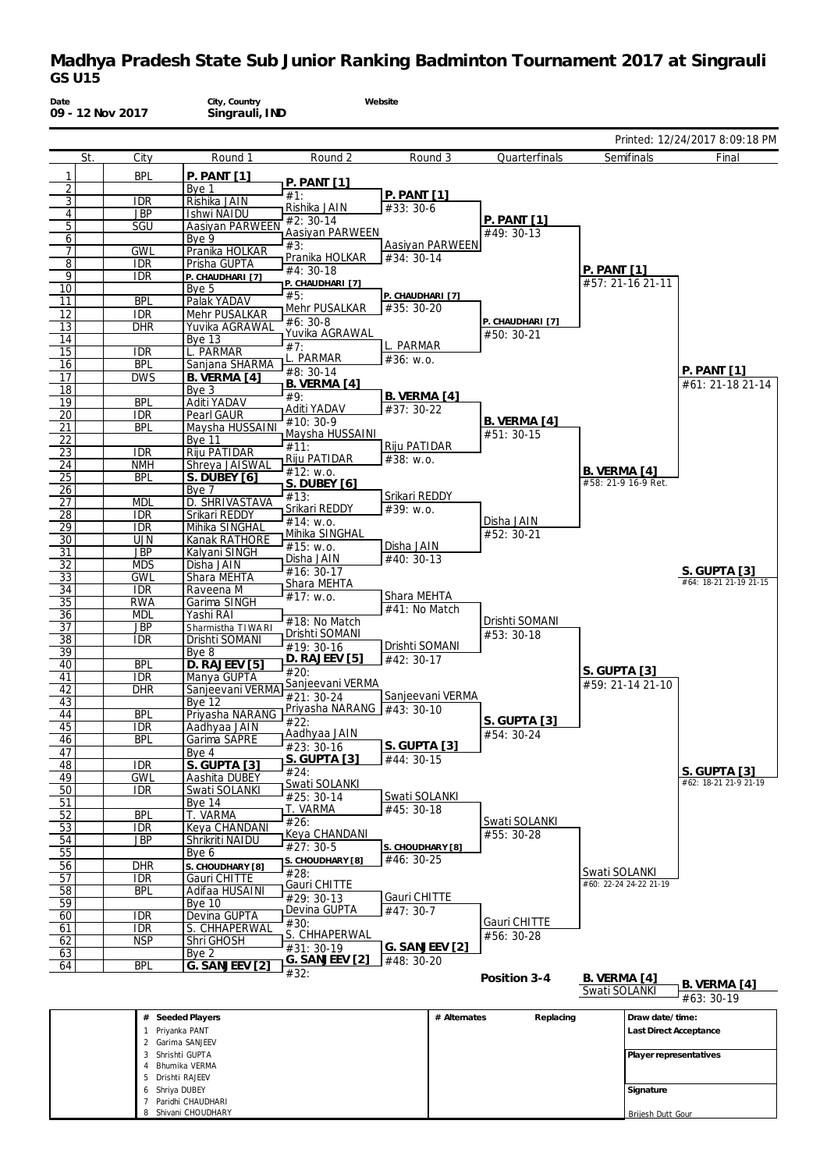

| Briurnika verkivia<br>$\overline{4}$ |                   |
|--------------------------------------|-------------------|
| Drishti RAJEEV<br>b.                 |                   |
| 6 Shriva DUBEY                       | Signature         |
| Paridhi CHAUDHARI                    |                   |
| Shivani CHOUDHARY<br>Q               | Briiesh Dutt Gour |